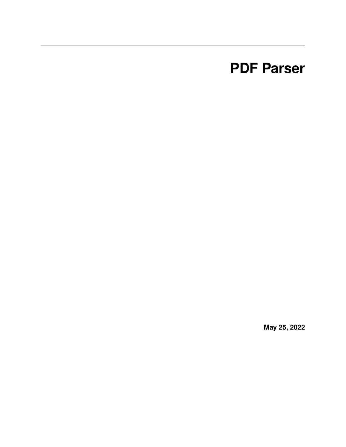# **PDF Parser**

**May 25, 2022**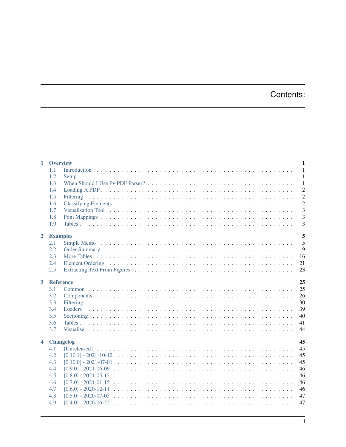## Contents:

| $\mathbf{1}$            | <b>Overview</b> |                                                                                                                                              | 1                       |
|-------------------------|-----------------|----------------------------------------------------------------------------------------------------------------------------------------------|-------------------------|
|                         | 1.1             |                                                                                                                                              | $\overline{1}$          |
|                         | 1.2             |                                                                                                                                              | $\mathbf{1}$            |
|                         | 1.3             |                                                                                                                                              | $\mathbf{1}$            |
|                         | 1.4             |                                                                                                                                              | $\overline{\mathbf{c}}$ |
|                         | 1.5             |                                                                                                                                              | $\overline{c}$          |
|                         | 1.6             |                                                                                                                                              | $\overline{c}$          |
|                         | 1.7             | Visualisation Tool (and a series are series as a series are series and a series are series and a series of the                               | $\mathfrak{B}$          |
|                         | 1.8             |                                                                                                                                              | $\mathfrak{B}$          |
|                         | 1.9             |                                                                                                                                              | 3                       |
|                         |                 |                                                                                                                                              |                         |
| $\overline{2}$          | <b>Examples</b> |                                                                                                                                              | 5<br>5                  |
|                         | 2.1<br>2.2      |                                                                                                                                              |                         |
|                         |                 |                                                                                                                                              | $\mathcal{G}$           |
|                         | 2.3             |                                                                                                                                              | 16                      |
|                         | 2.4             |                                                                                                                                              | 21                      |
|                         | 2.5             |                                                                                                                                              | 23                      |
| $\mathbf{3}$            | Reference       |                                                                                                                                              | 25                      |
|                         | 3.1             |                                                                                                                                              | 25                      |
|                         | 3.2             |                                                                                                                                              | 26                      |
|                         | 3.3             |                                                                                                                                              | 3 <sub>0</sub>          |
|                         | 3.4             |                                                                                                                                              | 39                      |
|                         | 3.5             |                                                                                                                                              | 40                      |
|                         | 3.6             |                                                                                                                                              | 41                      |
|                         | 3.7             |                                                                                                                                              | 44                      |
| $\overline{\mathbf{4}}$ |                 | <b>Changelog</b>                                                                                                                             | 45                      |
|                         | 4.1             |                                                                                                                                              | 45                      |
|                         | 4.2             |                                                                                                                                              | 45                      |
|                         | 4.3             |                                                                                                                                              | 45                      |
|                         | 4.4             |                                                                                                                                              | 46                      |
|                         | 4.5             |                                                                                                                                              | 46                      |
|                         | 4.6             |                                                                                                                                              | 46                      |
|                         | 4.7             |                                                                                                                                              | 46                      |
|                         | 4.8             |                                                                                                                                              | 47                      |
|                         | 4.9             | $[0.4.0] - 2020 - 06 - 22$<br>a dia kaominina mpikambana amin'ny fivondronan-kaominin'i Nouvelle-Alexandre ao amin'ny fivondronan-kaominin'i | 47                      |
|                         |                 |                                                                                                                                              |                         |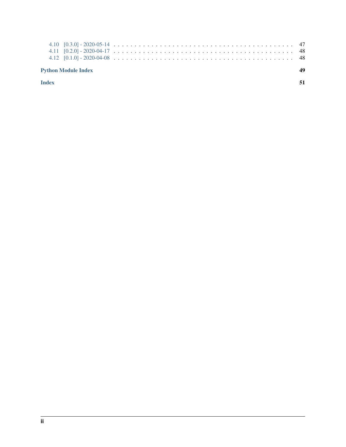| <b>Python Module Index</b> | 40 |
|----------------------------|----|
|                            |    |
|                            |    |
|                            |    |

[Index](#page-54-0) 51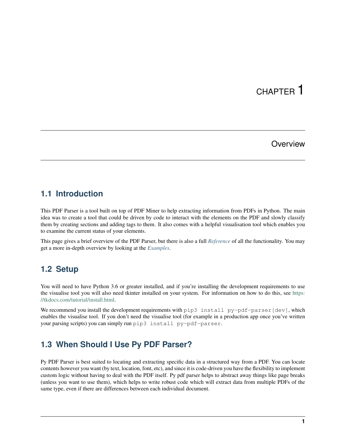## CHAPTER 1

## **Overview**

## <span id="page-4-1"></span><span id="page-4-0"></span>**1.1 Introduction**

This PDF Parser is a tool built on top of PDF Miner to help extracting information from PDFs in Python. The main idea was to create a tool that could be driven by code to interact with the elements on the PDF and slowly classify them by creating sections and adding tags to them. It also comes with a helpful visualisation tool which enables you to examine the current status of your elements.

This page gives a brief overview of the PDF Parser, but there is also a full *[Reference](#page-28-0)* of all the functionality. You may get a more in-depth overview by looking at the *[Examples](#page-8-0)*.

## <span id="page-4-2"></span>**1.2 Setup**

You will need to have Python 3.6 or greater installed, and if you're installing the development requirements to use the visualise tool you will also need tkinter installed on your system. For information on how to do this, see [https:](https://tkdocs.com/tutorial/install.html) [//tkdocs.com/tutorial/install.html.](https://tkdocs.com/tutorial/install.html)

We recommend you install the development requirements with pip3 install py-pdf-parser[dev], which enables the visualise tool. If you don't need the visualise tool (for example in a production app once you've written your parsing scripts) you can simply run pip3 install py-pdf-parser.

## <span id="page-4-3"></span>**1.3 When Should I Use Py PDF Parser?**

Py PDF Parser is best suited to locating and extracting specific data in a structured way from a PDF. You can locate contents however you want (by text, location, font, etc), and since it is code-driven you have the flexibility to implement custom logic without having to deal with the PDF itself. Py pdf parser helps to abstract away things like page breaks (unless you want to use them), which helps to write robust code which will extract data from multiple PDFs of the same type, even if there are differences between each individual document.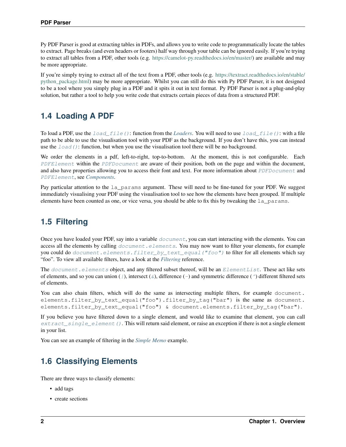Py PDF Parser is good at extracting tables in PDFs, and allows you to write code to programmatically locate the tables to extract. Page breaks (and even headers or footers) half way through your table can be ignored easily. If you're trying to extract all tables from a PDF, other tools (e.g. [https://camelot-py.readthedocs.io/en/master/\)](https://camelot-py.readthedocs.io/en/master/) are available and may be more appropriate.

If you're simply trying to extract all of the text from a PDF, other tools (e.g. [https://textract.readthedocs.io/en/stable/](https://textract.readthedocs.io/en/stable/python_package.html) [python\\_package.html\)](https://textract.readthedocs.io/en/stable/python_package.html) may be more appropriate. Whilst you can still do this with Py PDF Parser, it is not designed to be a tool where you simply plug in a PDF and it spits it out in text format. Py PDF Parser is not a plug-and-play solution, but rather a tool to help you write code that extracts certain pieces of data from a structured PDF.

## <span id="page-5-0"></span>**1.4 Loading A PDF**

To load a PDF, use the [load\\_file\(\)](#page-43-1): function from the *[Loaders](#page-42-0)*. You will need to use [load\\_file\(\)](#page-43-1): with a file path to be able to use the visualisation tool with your PDF as the background. If you don't have this, you can instead use the  $load()$ : function, but when you use the visualisation tool there will be no background.

We order the elements in a pdf, left-to-right, top-to-bottom. At the moment, this is not configurable. Each [PDFElement](#page-30-0) within the [PDFDocument](#page-29-1) are aware of their position, both on the page and within the document, and also have properties allowing you to access their font and text. For more information about [PDFDocument](#page-29-1) and [PDFElement](#page-30-0), see *[Components](#page-29-0)*.

Pay particular attention to the la params argument. These will need to be fine-tuned for your PDF. We suggest immediately visualising your PDF using the visualisation tool to see how the elements have been grouped. If multiple elements have been counted as one, or vice versa, you should be able to fix this by tweaking the la\_params.

## <span id="page-5-1"></span>**1.5 Filtering**

Once you have loaded your PDF, say into a variable  $document$ , you can start interacting with the elements. You can access all the elements by calling *[document.elements](#page-33-1)*. You may now want to filter your elements, for example you could do [document.elements.filter\\_by\\_text\\_equal\("foo"\)](#page-39-0) to filter for all elements which say "foo". To view all available filters, have a look at the *[Filtering](#page-33-0)* reference.

The document. elements object, and any filtered subset thereof, will be an [ElementList](#page-33-1). These act like sets of elements, and so you can union (*[|](#page-34-0)*), intersect ( $\&$  $\&$ ), difference ([-](#page-34-1)) and symmetric difference ( $\uparrow$ ) different filtered sets of elements.

```
You can also chain filters, which will do the same as intersecting multiple filters, for example document.
elements.filter_by_text_equal("foo").filter_by_tag("bar") is the same as document.
elements.filter_by_text_equal("foo") & document.elements.filter_by_tag("bar").
```
If you believe you have filtered down to a single element, and would like to examine that element, you can call [extract\\_single\\_element\(\)](#page-37-0). This will return said element, or raise an exception if there is not a single element in your list.

You can see an example of filtering in the *[Simple Memo](#page-8-1)* example.

## <span id="page-5-2"></span>**1.6 Classifying Elements**

There are three ways to classify elements:

- add tags
- create sections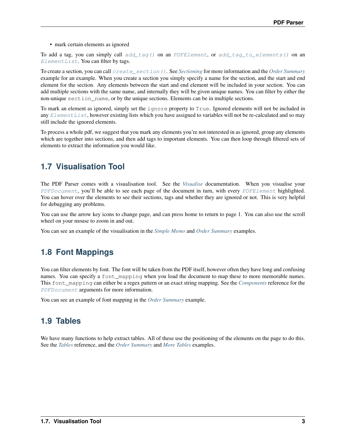• mark certain elements as ignored

To add a tag, you can simply call  $add\_tag()$  on an [PDFElement](#page-30-0), or [add\\_tag\\_to\\_elements\(\)](#page-35-0) on an  $ElementList$ . You can filter by tags.

To create a section, you can call [create\\_section\(\)](#page-44-1). See *[Sectioning](#page-43-0)* for more information and the *[Order Summary](#page-12-0)* example for an example. When you create a section you simply specify a name for the section, and the start and end element for the section. Any elements between the start and end element will be included in your section. You can add multiple sections with the same name, and internally they will be given unique names. You can filter by either the non-unique section\_name, or by the unique sections. Elements can be in multiple sections.

To mark an element as ignored, simply set the ignore property to True. Ignored elements will not be included in any  $ElementList$ , however existing lists which you have assigned to variables will not be re-calculated and so may still include the ignored elements.

To process a whole pdf, we suggest that you mark any elements you're not interested in as ignored, group any elements which are together into sections, and then add tags to important elements. You can then loop through filtered sets of elements to extract the information you would like.

## <span id="page-6-0"></span>**1.7 Visualisation Tool**

The PDF Parser comes with a visualisation tool. See the *[Visualise](#page-47-0)* documentation. When you visualise your [PDFDocument](#page-29-1), you'll be able to see each page of the document in turn, with every [PDFElement](#page-30-0) highlighted. You can hover over the elements to see their sections, tags and whether they are ignored or not. This is very helpful for debugging any problems.

You can use the arrow key icons to change page, and can press home to return to page 1. You can also use the scroll wheel on your mouse to zoom in and out.

You can see an example of the visualisation in the *[Simple Memo](#page-8-1)* and *[Order Summary](#page-12-0)* examples.

## <span id="page-6-1"></span>**1.8 Font Mappings**

You can filter elements by font. The font will be taken from the PDF itself, however often they have long and confusing names. You can specify a font\_mapping when you load the document to map these to more memorable names. This font\_mapping can either be a regex pattern or an exact string mapping. See the *[Components](#page-29-0)* reference for the [PDFDocument](#page-29-1) arguments for more information.

You can see an example of font mapping in the *[Order Summary](#page-12-0)* example.

## <span id="page-6-2"></span>**1.9 Tables**

We have many functions to help extract tables. All of these use the positioning of the elements on the page to do this. See the *[Tables](#page-44-0)* reference, and the *[Order Summary](#page-12-0)* and *[More Tables](#page-19-0)* examples.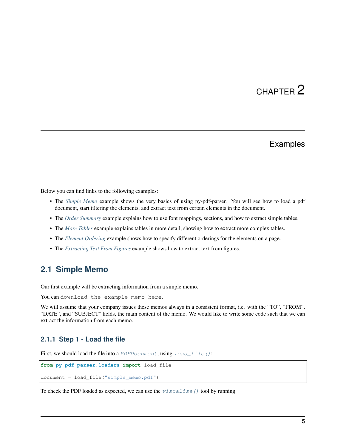# CHAPTER 2

## Examples

<span id="page-8-0"></span>Below you can find links to the following examples:

- The *[Simple Memo](#page-8-1)* example shows the very basics of using py-pdf-parser. You will see how to load a pdf document, start filtering the elements, and extract text from certain elements in the document.
- The *[Order Summary](#page-12-0)* example explains how to use font mappings, sections, and how to extract simple tables.
- The *[More Tables](#page-19-0)* example explains tables in more detail, showing how to extract more complex tables.
- The *[Element Ordering](#page-24-0)* example shows how to specify different orderings for the elements on a page.
- The *[Extracting Text From Figures](#page-26-0)* example shows how to extract text from figures.

## <span id="page-8-1"></span>**2.1 Simple Memo**

Our first example will be extracting information from a simple memo.

You can download the example memo here.

We will assume that your company issues these memos always in a consistent format, i.e. with the "TO", "FROM", "DATE", and "SUBJECT" fields, the main content of the memo. We would like to write some code such that we can extract the information from each memo.

### **2.1.1 Step 1 - Load the file**

First, we should load the file into a [PDFDocument](#page-29-1), using [load\\_file\(\)](#page-43-1):

```
from py_pdf_parser.loaders import load_file
document = load_file("simple_memo.pdf")
```
To check the PDF loaded as expected, we can use the  $v$ isualise() tool by running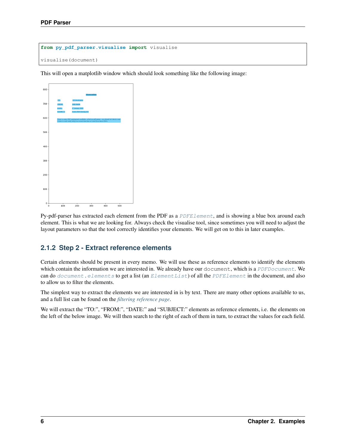```
from py_pdf_parser.visualise import visualise
visualise(document)
```
This will open a matplotlib window which should look something like the following image:



Py-pdf-parser has extracted each element from the PDF as a PDFELement, and is showing a blue box around each element. This is what we are looking for. Always check the visualise tool, since sometimes you will need to adjust the layout parameters so that the tool correctly identifies your elements. We will get on to this in later examples.

## **2.1.2 Step 2 - Extract reference elements**

Certain elements should be present in every memo. We will use these as reference elements to identify the elements which contain the information we are interested in. We already have our document, which is a [PDFDocument](#page-29-1). We can do  $document$ . elements to get a list (an  $ElementList$ ) of all the  $PDFElement$  in the document, and also to allow us to filter the elements.

The simplest way to extract the elements we are interested in is by text. There are many other options available to us, and a full list can be found on the *[filtering reference page](#page-33-0)*.

We will extract the "TO:", "FROM:", "DATE:" and "SUBJECT:" elements as reference elements, i.e. the elements on the left of the below image. We will then search to the right of each of them in turn, to extract the values for each field.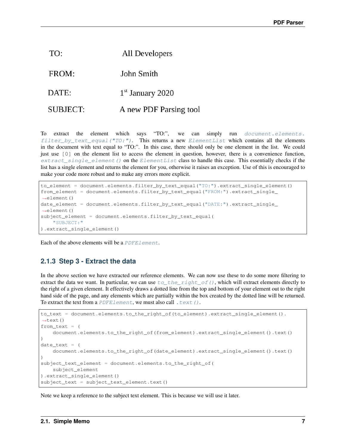| TO:      | All Developers         |
|----------|------------------------|
| FROM:    | John Smith             |
| DATE:    | $1st$ January 2020     |
| SUBJECT: | A new PDF Parsing tool |

To extract the element which says "TO:", we can simply run [document.elements.](#page-39-0) filter\_by\_text\_equal( $T0:$ "). This returns a new [ElementList](#page-33-1) which contains all the elements in the document with text equal to "TO:". In this case, there should only be one element in the list. We could just use [0] on the element list to access the element in question, however, there is a convenience function, [extract\\_single\\_element\(\)](#page-37-0) on the [ElementList](#page-33-1) class to handle this case. This essentially checks if the list has a single element and returns the element for you, otherwise it raises an exception. Use of this is encouraged to make your code more robust and to make any errors more explicit.

```
to_element = document.elements.filter_by_text_equal("TO:").extract_single_element()
from_element = document.elements.filter_by_text_equal("FROM:").extract_single_
˓→element()
date_element = document.elements.filter_by_text_equal("DATE:").extract_single_
˓→element()
subject_element = document.elements.filter_by_text_equal(
    "SUBJECT:"
).extract_single_element()
```
Each of the above elements will be a [PDFElement](#page-30-0).

## **2.1.3 Step 3 - Extract the data**

In the above section we have extracted our reference elements. We can now use these to do some more filtering to extract the data we want. In particular, we can use  $to$   $_\text{the\_right\_of}($ , which will extract elements directly to the right of a given element. It effectively draws a dotted line from the top and bottom of your element out to the right hand side of the page, and any elements which are partially within the box created by the dotted line will be returned. To extract the text from a PDFE lement, we must also call .  $text$  ().

```
to_text = document.elements.to_the_right_of(to_element).extract_single_element().
˓→text()
from\_text = (document.elements.to_the_right_of(from_element).extract_single_element().text()
)
date\_text = (document.elements.to_the_right_of(date_element).extract_single_element().text()
)
subject_text_element = document.elements.to_the_right_of(
   subject_element
).extract_single_element()
subject_text = subject_text_element.text()
```
Note we keep a reference to the subject text element. This is because we will use it later.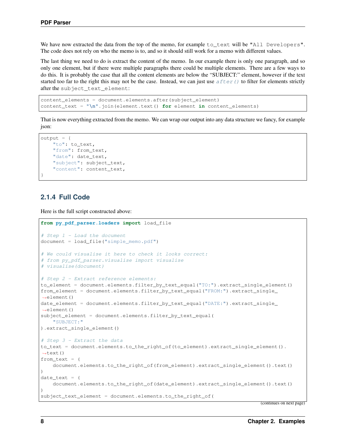We have now extracted the data from the top of the memo, for example to text will be "All Developers". The code does not rely on who the memo is to, and so it should still work for a memo with different values.

The last thing we need to do is extract the content of the memo. In our example there is only one paragraph, and so only one element, but if there were multiple paragraphs there could be multiple elements. There are a few ways to do this. It is probably the case that all the content elements are below the "SUBJECT:" element, however if the text started too far to the right this may not be the case. Instead, we can just use  $after()$  to filter for elements strictly after the subject\_text\_element:

```
content_elements = document.elements.after(subject_element)
content_text = "\n".join(element.text() for element in content_elements)
```
That is now everything extracted from the memo. We can wrap our output into any data structure we fancy, for example json:

```
output = {
   "to": to text,
   "from": from_text,
   "date": date text,
    "subject": subject_text,
    "content": content_text,
}
```
### **2.1.4 Full Code**

Here is the full script constructed above:

```
from py_pdf_parser.loaders import load_file
# Step 1 - Load the document
document = load file("simple memo.pdf")
# We could visualise it here to check it looks correct:
# from py_pdf_parser.visualise import visualise
# visualise(document)
# Step 2 - Extract reference elements:
to_element = document.elements.filter_by_text_equal("TO:").extract_single_element()
from_element = document.elements.filter_by_text_equal("FROM:").extract_single_
˓→element()
date_element = document.elements.filter_by_text_equal("DATE:").extract_single_
˓→element()
subject_element = document.elements.filter_by_text_equal(
    "SUBJECT:"
).extract_single_element()
# Step 3 - Extract the data
to_text = document.elements.to_the_right_of(to_element).extract_single_element().
˓→text()
from text = (document.elements.to_the_right_of(from_element).extract_single_element().text()
)
date\_text = (document.elements.to_the_right_of(date_element).extract_single_element().text()
)
subject_text_element = document.elements.to_the_right_of(
```
(continues on next page)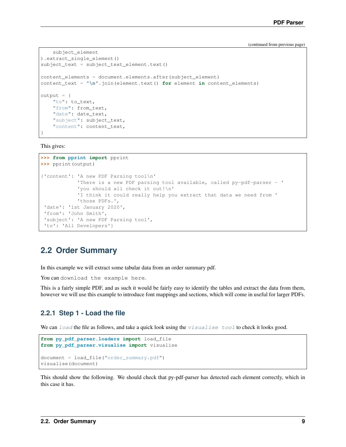(continued from previous page)

```
subject_element
).extract_single_element()
subject_text = subject_text_element.text()
content_elements = document.elements.after(subject_element)
content_text = "\n".join(element.text() for element in content_elements)
output = {
   "to": to_text,
    "from": from_text,
    "date": date_text,
    "subject": subject_text,
    "content": content_text,
}
```
This gives:

```
>>> from pprint import pprint
>>> pprint(output)
{'content': 'A new PDF Parsing tool\n'
            'There is a new PDF parsing tool available, called py-pdf-parser - '
            'you should all check it out!\n'
            'I think it could really help you extract that data we need from '
            'those PDFs.',
 'date': '1st January 2020',
 'from': 'John Smith',
 'subject': 'A new PDF Parsing tool',
 'to': 'All Developers'}
```
## <span id="page-12-0"></span>**2.2 Order Summary**

In this example we will extract some tabular data from an order summary pdf.

You can download the example here.

This is a fairly simple PDF, and as such it would be fairly easy to identify the tables and extract the data from them, however we will use this example to introduce font mappings and sections, which will come in useful for larger PDFs.

## **2.2.1 Step 1 - Load the file**

We can [load](#page-43-1) the file as follows, and take a quick look using the  $visu$  all  $se$  tool to check it looks good.

```
from py_pdf_parser.loaders import load_file
from py_pdf_parser.visualise import visualise
document = load_file("order_summary.pdf")
visualise(document)
```
This should show the following. We should check that py-pdf-parser has detected each element correctly, which in this case it has.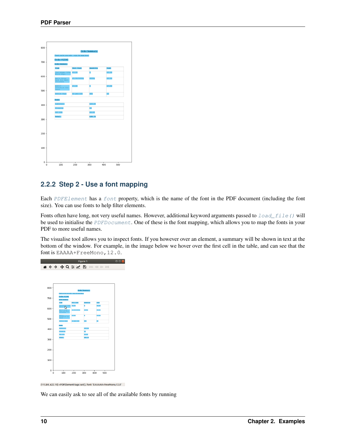| $800 -$ |                                                 |             |                       |       |     |  |
|---------|-------------------------------------------------|-------------|-----------------------|-------|-----|--|
|         |                                                 |             | <b>Order Summary:</b> |       |     |  |
|         | Thank you for your order - enjoy the home brew! |             |                       |       |     |  |
|         | Order #12345                                    |             |                       |       |     |  |
| $700 -$ | <b>Order Summary:</b>                           |             |                       |       |     |  |
|         | Item                                            | Unit Cost   | Quantity              | Cost  |     |  |
| $600 -$ | Challenger 100g<br>Whole Hops                   | £3.29       | N                     | £3.29 |     |  |
|         | Maris Otter<br>Pale Ale Malt<br>(Crushed)       | £1.50/1000g | 4000g                 | £6.00 |     |  |
| $500 -$ | WLP037<br>Yorkshire Ale<br>Yeast                | £7.08       | Ŧ                     | £7.08 |     |  |
|         | <b>Bottle Caps</b>                              | £1 per 100  | 500                   | £5    |     |  |
|         | <b>Totals:</b>                                  |             |                       |       |     |  |
| 400     | Subtotal:                                       |             | £26.28                |       |     |  |
|         | Shipping                                        |             | £6                    |       |     |  |
|         | <b>VAT 20%</b>                                  |             | £6.45                 |       |     |  |
| $300 -$ | Total:                                          |             | £38.73                |       |     |  |
|         |                                                 |             |                       |       |     |  |
|         |                                                 |             |                       |       |     |  |
| $200 -$ |                                                 |             |                       |       |     |  |
|         |                                                 |             |                       |       |     |  |
|         |                                                 |             |                       |       |     |  |
| 100     |                                                 |             |                       |       |     |  |
|         |                                                 |             |                       |       |     |  |
|         |                                                 |             |                       |       |     |  |
| $0 +$   |                                                 |             |                       |       |     |  |
| 0       | 100                                             | 200         | 300                   | 400   | 500 |  |

## **2.2.2 Step 2 - Use a font mapping**

Each [PDFElement](#page-30-0) has a [font](#page-31-1) property, which is the name of the font in the PDF document (including the font size). You can use fonts to help filter elements.

Fonts often have long, not very useful names. However, additional keyword arguments passed to  $load\_file()$  will be used to initialise the [PDFDocument](#page-29-1). One of these is the font mapping, which allows you to map the fonts in your PDF to more useful names.

The visualise tool allows you to inspect fonts. If you however over an element, a summary will be shown in text at the bottom of the window. For example, in the image below we hover over the first cell in the table, and can see that the font is EAAAA+FreeMono, 12.0.



(115.84, 622.19) <PDFElement tags: set(), font: 'EAAAAA+FreeMono,12.0'

We can easily ask to see all of the available fonts by running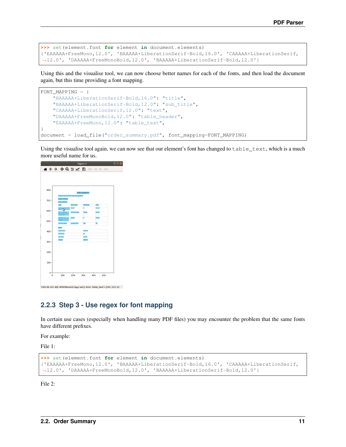```
>>> set(element.font for element in document.elements)
{'EAAAAA+FreeMono,12.0', 'BAAAAA+LiberationSerif-Bold,16.0', 'CAAAAA+LiberationSerif,
˓→12.0', 'DAAAAA+FreeMonoBold,12.0', 'BAAAAA+LiberationSerif-Bold,12.0'}
```
Using this and the visualise tool, we can now choose better names for each of the fonts, and then load the document again, but this time providing a font mapping.

```
FONT_MAPPING = {
    "BAAAAA+LiberationSerif-Bold,16.0": "title",
    "BAAAAA+LiberationSerif-Bold,12.0": "sub_title",
    "CAAAAA+LiberationSerif,12.0": "text",
    "DAAAAA+FreeMonoBold,12.0": "table_header",
    "EAAAAA+FreeMono,12.0": "table_text",
}
document = load_file("order_summary.pdf", font_mapping=FONT_MAPPING)
```
Using the visualise tool again, we can now see that our element's font has changed to table\_text, which is a much more useful name for us.



(105.98, 621.80) <PDFElement tags: set(), font: 'table\_text'> [255, 255, 25

## **2.2.3 Step 3 - Use regex for font mapping**

In certain use cases (especially when handling many PDF files) you may encounter the problem that the same fonts have different prefixes.

For example:

File 1:

```
>>> set(element.font for element in document.elements)
{'EAAAAA+FreeMono,12.0', 'BAAAAA+LiberationSerif-Bold,16.0', 'CAAAAA+LiberationSerif,
˓→12.0', 'DAAAAA+FreeMonoBold,12.0', 'BAAAAA+LiberationSerif-Bold,12.0'}
```
File 2: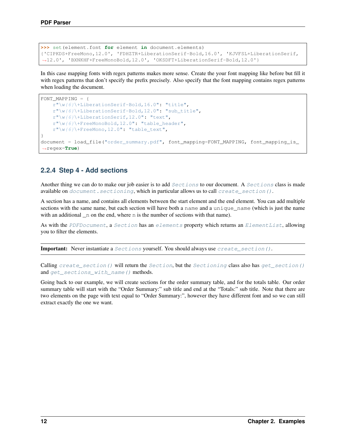```
>>> set(element.font for element in document.elements)
{'CIPKDS+FreeMono,12.0', 'FDHZTR+LiberationSerif-Bold,16.0', 'KJVFSL+LiberationSerif,
˓→12.0', 'BXNKHF+FreeMonoBold,12.0', 'OKSDFT+LiberationSerif-Bold,12.0'}
```
In this case mapping fonts with regex patterns makes more sense. Create the your font mapping like before but fill it with regex patterns that don't specify the prefix precisely. Also specify that the font mapping contains regex patterns when loading the document.

```
FONT_MAPPING = {
   r"\w{6}\+LiberationSerif-Bold,16.0": "title",
    r"\w{6}\+LiberationSerif-Bold,12.0": "sub_title",
    r"\w{6}\+LiberationSerif,12.0": "text",
    r"\w{6}\+FreeMonoBold,12.0": "table_header",
    r''\w\{6\}\ + FreeMono, 12.0": "table_text",
}
document = load_file("order_summary.pdf", font_mapping=FONT_MAPPING, font_mapping_is_
˓→regex=True)
```
## **2.2.4 Step 4 - Add sections**

Another thing we can do to make our job easier is to add *[Sections](#page-44-2)* to our document. A *Sections* class is made available on [document.sectioning](#page-30-2), which in particular allows us to call [create\\_section\(\)](#page-44-1).

A section has a name, and contains all elements between the start element and the end element. You can add multiple sections with the same name, but each section will have both a name and a unique\_name (which is just the name with an additional  $\Box$  n on the end, where n is the number of sections with that name).

As with the [PDFDocument](#page-29-1), a [Section](#page-43-3) has an [elements](#page-44-3) property which returns an [ElementList](#page-33-1), allowing you to filter the elements.

Important: Never instantiate a [Sections](#page-43-3) yourself. You should always use [create\\_section\(\)](#page-44-1).

Calling create section() will return the [Section](#page-43-3), but the [Sectioning](#page-44-2) class also has get section() and [get\\_sections\\_with\\_name\(\)](#page-44-5) methods.

Going back to our example, we will create sections for the order summary table, and for the totals table. Our order summary table will start with the "Order Summary:" sub title and end at the "Totals:" sub title. Note that there are two elements on the page with text equal to "Order Summary:", however they have different font and so we can still extract exactly the one we want.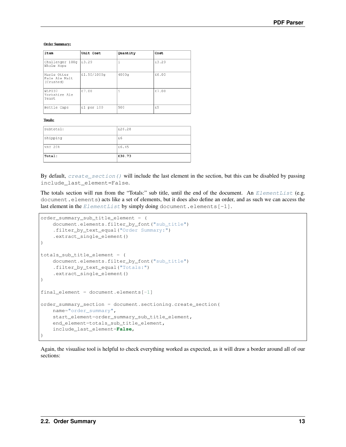#### **Order Summary:**

| Item                                      | Unit Cost   | Quantity | Cost  |
|-------------------------------------------|-------------|----------|-------|
| Challenger 100g<br>Whole Hops             | £3.29       |          | £3.29 |
| Maris Otter<br>Pale Ale Malt<br>(Crushed) | £1,50/1000g | 4000g    | £6.00 |
| WLP037<br>Yorkshire Ale<br>Yeast          | £7.08       |          | £7.08 |
| Bottle Caps                               | £1 per 100  | 500      | £5    |

#### **Totals:**

| Total:    | £38.73 |
|-----------|--------|
| VAT 20%   | £6.45  |
| Shipping  | £6     |
| Subtotal: | £26.28 |

By default, [create\\_section\(\)](#page-44-1) will include the last element in the section, but this can be disabled by passing include\_last\_element=False.

The totals section will run from the "Totals:" sub title, until the end of the document. An [ElementList](#page-33-1) (e.g. document.elements) acts like a set of elements, but it does also define an order, and as such we can access the last element in the [ElementList](#page-33-1) by simply doing document.elements $[-1]$ .

```
order_summary_sub_title_element = (
   document.elements.filter_by_font("sub_title")
    .filter_by_text_equal("Order Summary:")
    .extract_single_element()
)
totals_sub_title_element = (
   document.elements.filter_by_font("sub_title")
    .filter_by_text_equal("Totals:")
    .extract_single_element()
)
final-element = document.elements[-1]order_summary_section = document.sectioning.create_section(
   name="order_summary",
   start_element=order_summary_sub_title_element,
   end_element=totals_sub_title_element,
    include_last_element=False,
)
```
Again, the visualise tool is helpful to check everything worked as expected, as it will draw a border around all of our sections: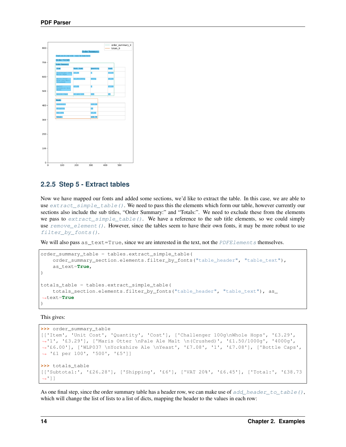| $800 -$              |                                                                        |             | <b>Order Summary:</b> | totals_0 | order_summary_0 |
|----------------------|------------------------------------------------------------------------|-------------|-----------------------|----------|-----------------|
| $700 -$              | Thank you for your order - enjoy the home brew!<br><b>Order #12345</b> |             |                       |          |                 |
|                      | <b>Order Summary:</b><br>Item                                          | Unit Cost   | Quantity              | Cost     |                 |
|                      | Challenger 100g<br>Whole Hops                                          | £3.29       |                       | £3.29    |                 |
| $600 -$              | Maris Otter<br>Pale Ale Malt<br>(Crushed)                              | £1.50/1000q | 4000g                 | £6.00    |                 |
| $500 -$              | WLP037<br>Yorkshire Ale<br>Yeast                                       | £7.08       |                       | £7.08    |                 |
|                      | <b>Bottle Caps</b>                                                     | £1 per 100  | 500                   | £5       |                 |
|                      | <b>Totals:</b><br>Subtotal:                                            |             | £26.28                |          |                 |
| 400                  | Shipping                                                               |             | £6                    |          |                 |
|                      | <b>VAT 20%</b>                                                         |             | £6.45                 |          |                 |
| $300 -$              | Total:                                                                 |             | £38.73                |          |                 |
|                      |                                                                        |             |                       |          |                 |
|                      |                                                                        |             |                       |          |                 |
| $200 -$              |                                                                        |             |                       |          |                 |
|                      |                                                                        |             |                       |          |                 |
| $100 -$              |                                                                        |             |                       |          |                 |
|                      |                                                                        |             |                       |          |                 |
|                      |                                                                        |             |                       |          |                 |
| $0 +$<br>$\mathbf 0$ | 100                                                                    | 200         | 300                   | 400      | 500             |

### **2.2.5 Step 5 - Extract tables**

Now we have mapped our fonts and added some sections, we'd like to extract the table. In this case, we are able to use  $extract\_simple\_table()$ . We need to pass this the elements which form our table, however currently our sections also include the sub titles, "Order Summary:" and "Totals:". We need to exclude these from the elements we pass to extract simple table(). We have a reference to the sub title elements, so we could simply use  $remove$  element (). However, since the tables seem to have their own fonts, it may be more robust to use filter by fonts().

We will also pass  $as\_text=True$ , since we are interested in the text, not the *[PDFElements](#page-30-0)* themselves.

```
order_summary_table = tables.extract_simple_table(
   order_summary_section.elements.filter_by_fonts("table_header", "table_text"),
    as_text=True,
)
totals_table = tables.extract_simple_table(
   totals_section.elements.filter_by_fonts("table_header", "table_text"), as_
˓→text=True
)
```
This gives:

```
>>> order_summary_table
[['Item', 'Unit Cost', 'Quantity', 'Cost'], ['Challenger 100g\nWhole Hops', '£3.29',
˓→'1', '£3.29'], ['Maris Otter \nPale Ale Malt \n(Crushed)', '£1.50/1000g', '4000g',
˓→'£6.00'], ['WLP037 \nYorkshire Ale \nYeast', '£7.08', '1', '£7.08'], ['Bottle Caps',
˓→ '£1 per 100', '500', '£5']]
>>> totals_table
[['Subtotal:', '£26.28'], ['Shipping', '£6'], ['VAT 20%', '£6.45'], ['Total:', '£38.73
ightharpoonup']]
```
As one final step, since the order summary table has a header row, we can make use of add header to table(), which will change the list of lists to a list of dicts, mapping the header to the values in each row: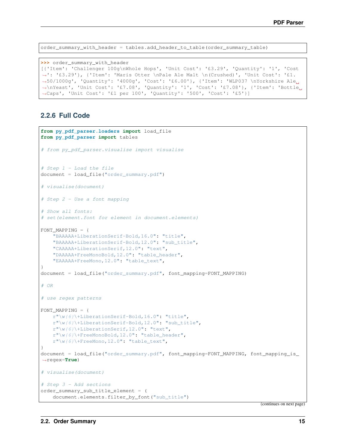order\_summary\_with\_header = tables.add\_header\_to\_table(order\_summary\_table)

**>>>** order\_summary\_with\_header [{'Item': 'Challenger 100g\nWhole Hops', 'Unit Cost': '£3.29', 'Quantity': '1', 'Cost ˓<sup>→</sup>': '£3.29'}, {'Item': 'Maris Otter \nPale Ale Malt \n(Crushed)', 'Unit Cost': '£1. ˓<sup>→</sup>50/1000g', 'Quantity': '4000g', 'Cost': '£6.00'}, {'Item': 'WLP037 \nYorkshire Ale ˓<sup>→</sup>\nYeast', 'Unit Cost': '£7.08', 'Quantity': '1', 'Cost': '£7.08'}, {'Item': 'Bottle ˓<sup>→</sup>Caps', 'Unit Cost': '£1 per 100', 'Quantity': '500', 'Cost': '£5'}]

### **2.2.6 Full Code**

```
from py_pdf_parser.loaders import load_file
from py_pdf_parser import tables
# from py_pdf_parser.visualise import visualise
# Step 1 - Load the file
document = load_file("order_summary.pdf")
# visualise(document)
# Step 2 - Use a font mapping
# Show all fonts:
# set(element.font for element in document.elements)
FONT_MAPPING = {
    "BAAAAA+LiberationSerif-Bold,16.0": "title",
    "BAAAAA+LiberationSerif-Bold,12.0": "sub_title",
    "CAAAAA+LiberationSerif,12.0": "text",
    "DAAAAA+FreeMonoBold,12.0": "table_header",
    "EAAAAA+FreeMono,12.0": "table_text",
}
document = load_file("order_summary.pdf", font_mapping=FONT_MAPPING)
# OR
# use regex patterns
FONT_MAPPING = {
   r''\wedge(\frac{\theta}{\tanh \theta})+LiberationSerif-Bold,16.0": "title",
   r''\wedge(\frac{\theta}{\tanh \theta})+LiberationSerif-Bold, 12.0": "sub_title",
   r"\w{6}\+LiberationSerif,12.0": "text",
    r''\wedge(\frac{\theta}{\cdot})+FreeMonoBold, 12.0": "table_header",
    r''\wedge\sqrt{6}\ + FreeMono, 12.0": "table_text",
}
document = load_file("order_summary.pdf", font_mapping=FONT_MAPPING, font_mapping_is_
˓→regex=True)
# visualise(document)
# Step 3 - Add sections
order_summary_sub_title_element = (
    document.elements.filter_by_font("sub_title")
```
(continues on next page)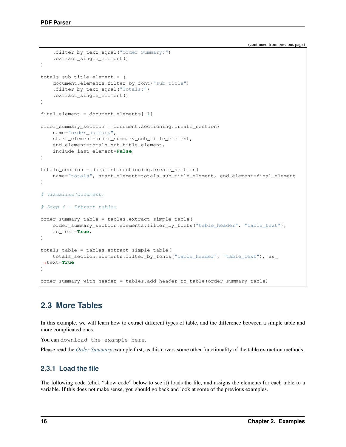(continued from previous page)

```
.filter_by_text_equal("Order Summary:")
    .extract_single_element()
)
totals_sub_title_element = (
   document.elements.filter_by_font("sub_title")
    .filter_by_text_equal("Totals:")
    .extract_single_element()
)
final-element = document.elements[-1]order_summary_section = document.sectioning.create_section(
   name="order_summary",
   start_element=order_summary_sub_title_element,
   end_element=totals_sub_title_element,
    include_last_element=False,
)
totals_section = document.sectioning.create_section(
    name="totals", start_element=totals_sub_title_element, end_element=final_element
)
# visualise(document)
# Step 4 - Extract tables
order summary table = tables.extract simple table(
   order_summary_section.elements.filter_by_fonts("table_header", "table_text"),
    as_text=True,
)
totals_table = tables.extract_simple_table(
    totals_section.elements.filter_by_fonts("table_header", "table_text"), as_
˓→text=True
)
order_summary_with_header = tables.add_header_to_table(order_summary_table)
```
## <span id="page-19-0"></span>**2.3 More Tables**

In this example, we will learn how to extract different types of table, and the difference between a simple table and more complicated ones.

You can download the example here.

Please read the *[Order Summary](#page-12-0)* example first, as this covers some other functionality of the table extraction methods.

## **2.3.1 Load the file**

The following code (click "show code" below to see it) loads the file, and assigns the elements for each table to a variable. If this does not make sense, you should go back and look at some of the previous examples.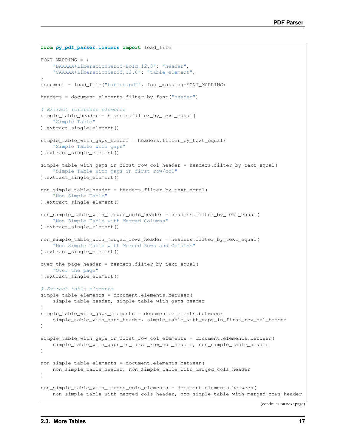```
from py_pdf_parser.loaders import load_file
FONT MAPPING = \{"BAAAAA+LiberationSerif-Bold,12.0": "header",
   "CAAAAA+LiberationSerif,12.0": "table_element",
}
document = load_file("tables.pdf", font_mapping=FONT_MAPPING)
headers = document.elements.filter_by_font("header")
# Extract reference elements
simple_table_header = headers.filter_by_text_equal(
   "Simple Table"
).extract_single_element()
simple_table_with_gaps_header = headers.filter_by_text_equal(
    "Simple Table with gaps"
).extract_single_element()
simple_table_with_gaps_in_first_row_col_header = headers.filter_by_text_equal(
    "Simple Table with gaps in first row/col"
).extract_single_element()
non_simple_table_header = headers.filter_by_text_equal(
    "Non Simple Table"
).extract_single_element()
non_simple_table_with_merged_cols_header = headers.filter_by_text_equal(
    "Non Simple Table with Merged Columns"
).extract_single_element()
non_simple_table_with_merged_rows_header = headers.filter_by_text_equal(
    "Non Simple Table with Merged Rows and Columns"
).extract_single_element()
over_the_page_header = headers.filter_by_text_equal(
    "Over the page"
).extract_single_element()
# Extract table elements
simple_table_elements = document.elements.between(
   simple_table_header, simple_table_with_gaps_header
)
simple_table_with_gaps_elements = document.elements.between(
   simple_table_with_gaps_header, simple_table_with_gaps_in_first_row_col_header
)
simple_table_with_gaps_in_first_row_col_elements = document.elements.between(
   simple_table_with_gaps_in_first_row_col_header, non_simple_table_header
)
non_simple_table_elements = document.elements.between(
   non_simple_table_header, non_simple_table_with_merged_cols_header
)
non_simple_table_with_merged_cols_elements = document.elements.between(
   non_simple_table_with_merged_cols_header, non_simple_table_with_merged_rows_header
```
(continues on next page)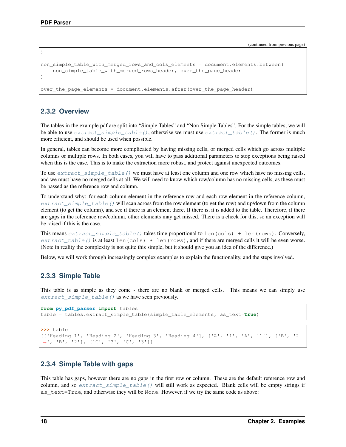)

(continued from previous page)

```
non_simple_table_with_merged_rows_and_cols_elements = document.elements.between(
    non_simple_table_with_merged_rows_header, over_the_page_header
)
over_the_page_elements = document.elements.after(over_the_page_header)
```
### **2.3.2 Overview**

The tables in the example pdf are split into "Simple Tables" and "Non Simple Tables". For the simple tables, we will be able to use  $extract\_simple\_table()$ , otherwise we must use  $extract\_table()$ . The former is much more efficient, and should be used when possible.

In general, tables can become more complicated by having missing cells, or merged cells which go across multiple columns or multiple rows. In both cases, you will have to pass additional parameters to stop exceptions being raised when this is the case. This is to make the extraction more robust, and protect against unexpected outcomes.

To use  $extract\_simple\_table$  () we must have at least one column and one row which have no missing cells, and we must have no merged cells at all. We will need to know which row/column has no missing cells, as these must be passed as the reference row and column.

To understand why: for each column element in the reference row and each row element in the reference column,  $extract\_simple\_table$  () will scan across from the row element (to get the row) and up/down from the column element (to get the column), and see if there is an element there. If there is, it is added to the table. Therefore, if there are gaps in the reference row/column, other elements may get missed. There is a check for this, so an exception will be raised if this is the case.

This means extract simple table() takes time proportional to len(cols) + len(rows). Conversely,  $extract\_table()$  is at least len(cols)  $\star$  len(rows), and if there are merged cells it will be even worse. (Note in reality the complexity is not quite this simple, but it should give you an idea of the difference.)

Below, we will work through increasingly complex examples to explain the functionality, and the steps involved.

### **2.3.3 Simple Table**

This table is as simple as they come - there are no blank or merged cells. This means we can simply use [extract\\_simple\\_table\(\)](#page-45-0) as we have seen previously.

```
from py_pdf_parser import tables
table = tables.extract_simple_table(simple_table_elements, as_text=True)
```

```
>>> table
[['Heading 1', 'Heading 2', 'Heading 3', 'Heading 4'], ['A', '1', 'A', '1'], ['B', '2
˓→', 'B', '2'], ['C', '3', 'C', '3']]
```
### **2.3.4 Simple Table with gaps**

This table has gaps, however there are no gaps in the first row or column. These are the default reference row and column, and so  $ext{next}_s$  imple\_table() will still work as expected. Blank cells will be empty strings if as text=True, and otherwise they will be None. However, if we try the same code as above: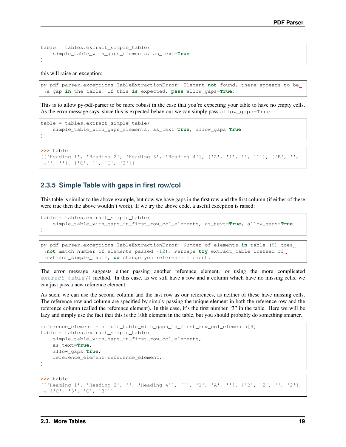```
table = tables.extract_simple_table(
    simple_table_with_gaps_elements, as_text=True
)
```
this will raise an exception:

```
py_pdf_parser.exceptions.TableExtractionError: Element not found, there appears to be
˓→a gap in the table. If this is expected, pass allow_gaps=True.
```
This is to allow py-pdf-parser to be more robust in the case that you're expecting your table to have no empty cells. As the error message says, since this is expected behaviour we can simply pass allow\_gaps=True.

```
table = tables.extract_simple_table(
   simple_table_with_gaps_elements, as_text=True, allow_gaps=True
)
```

```
>>> table
```

```
[['Heading 1', 'Heading 2', 'Heading 3', 'Heading 4'], ['A', '1', '', '1'], ['B', '',
˓→'', ''], ['C', '', 'C', '3']]
```
### **2.3.5 Simple Table with gaps in first row/col**

This table is similar to the above example, but now we have gaps in the first row and the first column (if either of these were true then the above wouldn't work). If we try the above code, a useful exception is raised:

```
table = tables.extract_simple_table(
   simple_table_with_gaps_in_first_row_col_elements, as_text=True, allow_gaps=True
)
```

```
py_pdf_parser.exceptions.TableExtractionError: Number of elements in table (9) does
˓→not match number of elements passed (12). Perhaps try extract_table instead of
˓→extract_simple_table, or change you reference element.
```
The error message suggests either passing another reference element, or using the more complicated  $extract_table()$  method. In this case, as we still have a row and a column which have no missing cells, we can just pass a new reference element.

As such, we can use the second column and the last row as our references, as neither of these have missing cells. The reference row and column are specified by simply passing the unique element in both the reference row and the reference column (called the reference element). In this case, it's the first number "3" in the table. Here we will be lazy and simply use the fact that this is the 10th element in the table, but you should probably do something smarter.

```
reference_element = simple_table_with_gaps_in_first_row_col_elements[9]
table = tables.extract_simple_table(
   simple_table_with_gaps_in_first_row_col_elements,
    as_text=True,
    allow_gaps=True,
    reference_element=reference_element,
)
```

```
>>> table
[['Heading 1', 'Heading 2', '', 'Heading 4'], ['', '1', 'A', ''], ['B', '2', '', '2'],
˓→ ['C', '3', 'C', '3']]
```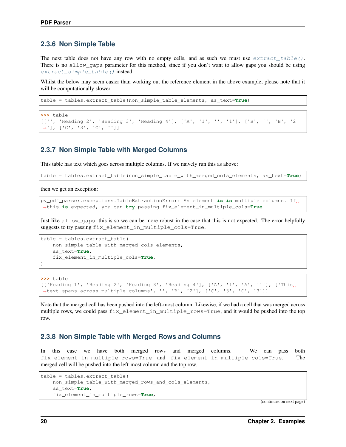### **2.3.6 Non Simple Table**

The next table does not have any row with no empty cells, and as such we must use  $extract_table()$ . There is no allow\_gaps parameter for this method, since if you don't want to allow gaps you should be using [extract\\_simple\\_table\(\)](#page-45-0) instead.

Whilst the below may seem easier than working out the reference element in the above example, please note that it will be computationally slower.

```
table = tables.extract_table(non_simple_table_elements, as_text=True)
```

```
>>> table
[['', 'Heading 2', 'Heading 3', 'Heading 4'], ['A', '1', '', '1'], ['B', '', 'B', '2
˓→'], ['C', '3', 'C', '']]
```
### **2.3.7 Non Simple Table with Merged Columns**

This table has text which goes across multiple columns. If we naively run this as above:

table = tables.extract\_table(non\_simple\_table\_with\_merged\_cols\_elements, as\_text=**True**)

then we get an exception:

```
py_pdf_parser.exceptions.TableExtractionError: An element is in multiple columns. If
˓→this is expected, you can try passing fix_element_in_multiple_cols=True
```
Just like allow\_gaps, this is so we can be more robust in the case that this is not expected. The error helpfully suggests to try passing fix element in multiple cols=True.

```
table = tables.extract_table(
   non_simple_table_with_merged_cols_elements,
   as_text=True,
    fix_element_in_multiple_cols=True,
)
```
**>>>** table

[['Heading 1', 'Heading 2', 'Heading 3', 'Heading 4'], ['A', '1', 'A', '1'], ['This ˓<sup>→</sup>text spans across multiple columns', '', 'B', '2'], ['C', '3', 'C', '3']]

Note that the merged cell has been pushed into the left-most column. Likewise, if we had a cell that was merged across multiple rows, we could pass fix element in multiple rows=True, and it would be pushed into the top row.

### **2.3.8 Non Simple Table with Merged Rows and Columns**

In this case we have both merged rows and merged columns. We can pass both fix\_element\_in\_multiple\_rows=True and fix\_element\_in\_multiple\_cols=True. The merged cell will be pushed into the left-most column and the top row.

```
table = tables.extract_table(
   non_simple_table_with_merged_rows_and_cols_elements,
   as_text=True,
   fix_element_in_multiple_rows=True,
```
(continues on next page)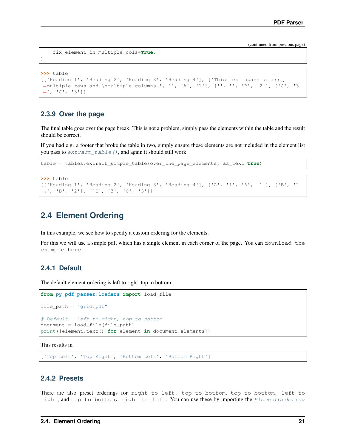(continued from previous page)

```
fix_element_in_multiple_cols=True,
```

```
>>> table
[['Heading 1', 'Heading 2', 'Heading 3', 'Heading 4'], ['This text spans across
\rightarrowmultiple rows and \nmultiple columns.', '', 'A', '1'], ['', '', 'B', '2'], ['C', '3
˓→', 'C', '3']]
```
### **2.3.9 Over the page**

)

The final table goes over the page break. This is not a problem, simply pass the elements within the table and the result should be correct.

If you had e.g. a footer that broke the table in two, simply ensure these elements are not included in the element list you pass to  $ext{ract\_table}$  (), and again it should still work.

```
table = tables.extract_simple_table(over_the_page_elements, as_text=True)
```

```
>>> table
[['Heading 1', 'Heading 2', 'Heading 3', 'Heading 4'], ['A', '1', 'A', '1'], ['B', '2
˓→', 'B', '2'], ['C', '3', 'C', '3']]
```
## <span id="page-24-0"></span>**2.4 Element Ordering**

In this example, we see how to specify a custom ordering for the elements.

For this we will use a simple pdf, which has a single element in each corner of the page. You can download the example here.

### **2.4.1 Default**

The default element ordering is left to right, top to bottom.

```
from py_pdf_parser.loaders import load_file
file_path = "grid.pdf"
# Default - left to right, top to bottom
document = load file(file path)
print([element.text() for element in document.elements])
```
This results in

['Top Left', 'Top Right', 'Bottom Left', 'Bottom Right']

### **2.4.2 Presets**

There are also preset orderings for right to left, top to bottom, top to bottom, left to right, and top to bottom, right to left. You can use these by importing the [ElementOrdering](#page-29-2)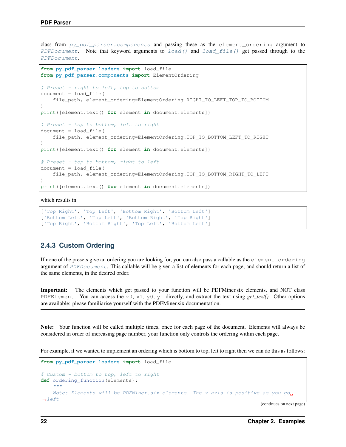class from py pdf parser.components and passing these as the element ordering argument to [PDFDocument](#page-29-1). Note that keyword arguments to  $load()$  and  $load_file()$  get passed through to the [PDFDocument](#page-29-1).

```
from py_pdf_parser.loaders import load_file
from py_pdf_parser.components import ElementOrdering
# Preset - right to left, top to bottom
document = load_file(
    file_path, element_ordering=ElementOrdering.RIGHT_TO_LEFT_TOP_TO_BOTTOM
)
print([element.text() for element in document.elements])
# Preset - top to bottom, left to right
document = load_file(
   file_path, element_ordering=ElementOrdering.TOP_TO_BOTTOM_LEFT_TO_RIGHT
)
print([element.text() for element in document.elements])
# Preset - top to bottom, right to left
document = load_file(
   file_path, element_ordering=ElementOrdering.TOP_TO_BOTTOM_RIGHT_TO_LEFT
)
print([element.text() for element in document.elements])
```
which results in

```
['Top Right', 'Top Left', 'Bottom Right', 'Bottom Left']
['Bottom Left', 'Top Left', 'Bottom Right', 'Top Right']
['Top Right', 'Bottom Right', 'Top Left', 'Bottom Left']
```
### **2.4.3 Custom Ordering**

If none of the presets give an ordering you are looking for, you can also pass a callable as the element\_ordering argument of [PDFDocument](#page-29-1). This callable will be given a list of elements for each page, and should return a list of the same elements, in the desired order.

Important: The elements which get passed to your function will be PDFMiner.six elements, and NOT class PDFElement. You can access the x0, x1, y0, y1 directly, and extract the text using *get\_text()*. Other options are available: please familiarise yourself with the PDFMiner.six documentation.

Note: Your function will be called multiple times, once for each page of the document. Elements will always be considered in order of increasing page number, your function only controls the ordering within each page.

For example, if we wanted to implement an ordering which is bottom to top, left to right then we can do this as follows:

```
from py_pdf_parser.loaders import load_file
# Custom - bottom to top, left to right
def ordering_function(elements):
     \boldsymbol{u} \boldsymbol{u} \boldsymbol{n}Note: Elements will be PDFMiner.six elements. The x axis is positive as you go
 ˓→left
```

```
(continues on next page)
```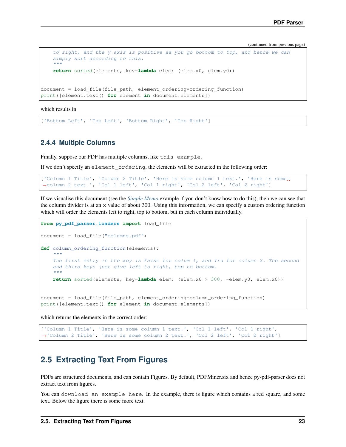(continued from previous page)

```
to right, and the y axis is positive as you go bottom to top, and hence we can
    simply sort according to this.
    "''"''"return sorted(elements, key=lambda elem: (elem.x0, elem.y0))
document = load_file(file_path, element_ordering=ordering_function)
print([element.text() for element in document.elements])
```
which results in

['Bottom Left', 'Top Left', 'Bottom Right', 'Top Right']

### **2.4.4 Multiple Columns**

Finally, suppose our PDF has multiple columns, like this example.

If we don't specify an element\_ordering, the elements will be extracted in the following order:

```
['Column 1 Title', 'Column 2 Title', 'Here is some column 1 text.', 'Here is some.
˓→column 2 text.', 'Col 1 left', 'Col 1 right', 'Col 2 left', 'Col 2 right']
```
If we visualise this document (see the *[Simple Memo](#page-8-1)* example if you don't know how to do this), then we can see that the column divider is at an x value of about 300. Using this information, we can specify a custom ordering function which will order the elements left to right, top to bottom, but in each column individually.

```
from py_pdf_parser.loaders import load_file
document = load_file("columns.pdf")
def column_ordering_function(elements):
    "''"''"The first entry in the key is False for colum 1, and Tru for column 2. The second
    and third keys just give left to right, top to bottom.
    "''"''"''"return sorted(elements, key=lambda elem: (elem.x0 > 300, -elem.y0, elem.x0))
document = load_file(file_path, element_ordering=column_ordering_function)
print([element.text() for element in document.elements])
```
which returns the elements in the correct order:

```
['Column 1 Title', 'Here is some column 1 text.', 'Col 1 left', 'Col 1 right',
˓→'Column 2 Title', 'Here is some column 2 text.', 'Col 2 left', 'Col 2 right']
```
## <span id="page-26-0"></span>**2.5 Extracting Text From Figures**

PDFs are structured documents, and can contain Figures. By default, PDFMiner.six and hence py-pdf-parser does not extract text from figures.

You can download an example here. In the example, there is figure which contains a red square, and some text. Below the figure there is some more text.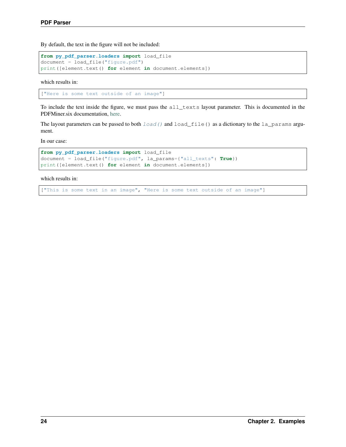By default, the text in the figure will not be included:

```
from py_pdf_parser.loaders import load_file
document = load_file("figure.pdf")
print([element.text() for element in document.elements])
```
which results in:

["Here is some text outside of an image"]

To include the text inside the figure, we must pass the all\_texts layout parameter. This is documented in the PDFMiner.six documentation, [here.](https://pdfminersix.readthedocs.io/en/latest/reference/composable.html#laparams)

The layout parameters can be passed to both  $load()$  and  $load$  file() as a dictionary to the la\_params argument.

In our case:

```
from py_pdf_parser.loaders import load_file
document = load_file("figure.pdf", la_params={"all_texts": True})
print([element.text() for element in document.elements])
```
which results in:

["This is some text in an image", "Here is some text outside of an image"]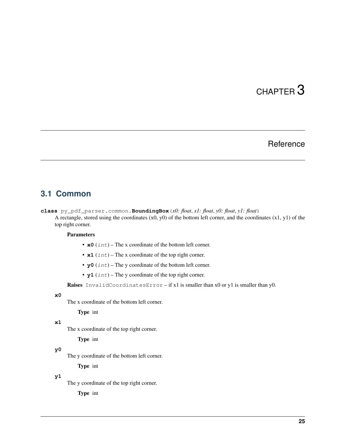# CHAPTER 3

## Reference

## <span id="page-28-3"></span><span id="page-28-1"></span><span id="page-28-0"></span>**3.1 Common**

<span id="page-28-2"></span>**class** py\_pdf\_parser.common.**BoundingBox**(*x0: float*, *x1: float*, *y0: float*, *y1: float*) A rectangle, stored using the coordinates  $(x0, y0)$  of the bottom left corner, and the coordinates  $(x1, y1)$  of the top right corner.

#### Parameters

- **x0** (int) The x coordinate of the bottom left corner.
- **x1** (*int*) The x coordinate of the top right corner.
- **y0** (*int*) The y coordinate of the bottom left corner.
- **y1** (int) The y coordinate of the top right corner.

Raises InvalidCoordinatesError – if x1 is smaller than x0 or y1 is smaller than y0.

#### **x0**

The x coordinate of the bottom left corner.

#### Type int

#### **x1**

The x coordinate of the top right corner.

Type int

#### **y0**

The y coordinate of the bottom left corner.

Type int

#### **y1**

The y coordinate of the top right corner.

Type int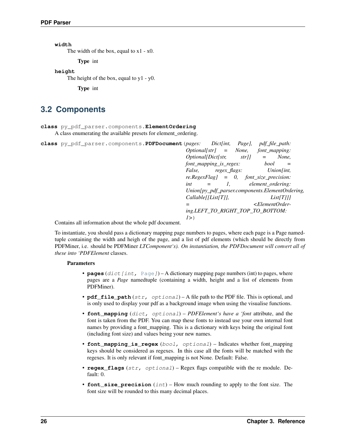<span id="page-29-3"></span>**width**

The width of the box, equal to  $x1 - x0$ .

Type int

**height**

The height of the box, equal to y1 - y0.

Type int

## <span id="page-29-0"></span>**3.2 Components**

<span id="page-29-2"></span>**class** py\_pdf\_parser.components.**ElementOrdering**

A class enumerating the available presets for element\_ordering.

<span id="page-29-1"></span>

| class py_pdf_parser.components. PDFDocument (pages: Dict[int, |                                                 | Page],                                    | <i>pdf file path:</i>    |                                                 |
|---------------------------------------------------------------|-------------------------------------------------|-------------------------------------------|--------------------------|-------------------------------------------------|
|                                                               |                                                 | $Optional[str] = None,$                   | font mapping:            |                                                 |
|                                                               | $\textit{Optional}[\textit{Dict}[\textit{str},$ | $str$ <sup>[]</sup>                       | $=$                      | None,                                           |
|                                                               | font_mapping_is_regex:                          |                                           | bool                     | $=$                                             |
|                                                               | <i>False.</i>                                   | regex flags:                              |                          | Union[int,                                      |
|                                                               |                                                 | $re. RegexFlag$ = 0, font_size_precision: |                          |                                                 |
|                                                               | int                                             | $\mathcal{I},$                            | element ordering:        |                                                 |
|                                                               |                                                 |                                           |                          | Union[py_pdf_parser.components.ElementOrdering, |
|                                                               | Callable[[List[T]],                             |                                           |                          | List[T]]                                        |
|                                                               |                                                 |                                           | $\epsilon$ ElementOrder- |                                                 |
|                                                               |                                                 | ing.LEFT_TO_RIGHT_TOP_TO_BOTTOM:          |                          |                                                 |
|                                                               | l > 0                                           |                                           |                          |                                                 |
| Contains all information about the whole ndf document         |                                                 |                                           |                          |                                                 |

Contains all information about the whole pdf document.

To instantiate, you should pass a dictionary mapping page numbers to pages, where each page is a Page namedtuple containing the width and heigh of the page, and a list of pdf elements (which should be directly from PDFMiner, i.e. should be PDFMiner *LTComponent's). On instantiation, the PDFDocument will convert all of these into 'PDFElement* classes.

### Parameters

- **pages** (dict [int, [Page](#page-42-1)]) A dictionary mapping page numbers (int) to pages, where pages are a *Page* namedtuple (containing a width, height and a list of elements from PDFMiner).
- **pdf\_file\_path** (str, optional) A file path to the PDF file. This is optional, and is only used to display your pdf as a background image when using the visualise functions.
- **font\_mapping** (dict, optional) *PDFElement's have a 'font* attribute, and the font is taken from the PDF. You can map these fonts to instead use your own internal font names by providing a font\_mapping. This is a dictionary with keys being the original font (including font size) and values being your new names.
- **font\_mapping\_is\_regex** (bool, optional) Indicates whether font\_mapping keys should be considered as regexes. In this case all the fonts will be matched with the regexes. It is only relevant if font\_mapping is not None. Default: False.
- **regex\_flags** (str, optional) Regex flags compatible with the re module. Default: 0.
- **font\_size\_precision** (int) How much rounding to apply to the font size. The font size will be rounded to this many decimal places.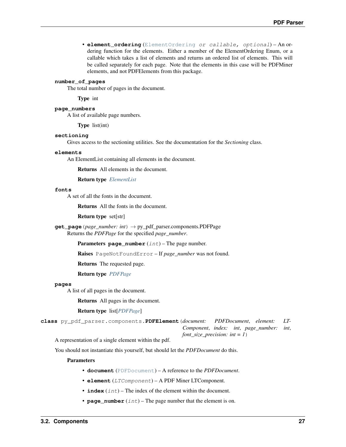<span id="page-30-3"></span>• **element ordering** ([ElementOrdering](#page-29-2) or callable, optional) – An ordering function for the elements. Either a member of the ElementOrdering Enum, or a callable which takes a list of elements and returns an ordered list of elements. This will be called separately for each page. Note that the elements in this case will be PDFMiner elements, and not PDFElements from this package.

#### **number\_of\_pages**

The total number of pages in the document.

Type int

**page\_numbers**

A list of available page numbers.

Type list(int)

#### <span id="page-30-2"></span>**sectioning**

Gives access to the sectioning utilities. See the documentation for the *Sectioning* class.

#### <span id="page-30-1"></span>**elements**

An ElementList containing all elements in the document.

Returns All elements in the document.

Return type *[ElementList](#page-33-1)*

#### **fonts**

A set of all the fonts in the document.

Returns All the fonts in the document.

Return type set[str]

**get\_page**(*page\_number: int*) → py\_pdf\_parser.components.PDFPage Returns the *PDFPage* for the specified *page\_number*.

Parameters **page\_number** (int) – The page number.

Raises PageNotFoundError – If *page\_number* was not found.

Returns The requested page.

#### Return type *[PDFPage](#page-32-1)*

#### **pages**

A list of all pages in the document.

Returns All pages in the document.

Return type list[*[PDFPage](#page-32-1)*]

<span id="page-30-0"></span>**class** py\_pdf\_parser.components.**PDFElement**(*document: PDFDocument*, *element: LT-Component*, *index: int*, *page\_number: int*, *font\_size\_precision: int = 1*)

A representation of a single element within the pdf.

You should not instantiate this yourself, but should let the *PDFDocument* do this.

#### Parameters

- **document** ([PDFDocument](#page-29-1)) A reference to the *PDFDocument*.
- **element** (LTComponent) A PDF Miner LTComponent.
- $\cdot$  **index** (int) The index of the element within the document.
- **page\_number** (int) The page number that the element is on.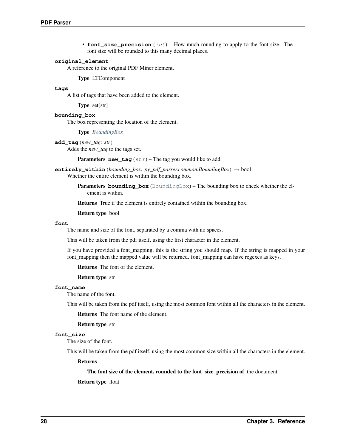• **font\_size\_precision** (int) – How much rounding to apply to the font size. The font size will be rounded to this many decimal places.

#### <span id="page-31-2"></span>**original\_element**

A reference to the original PDF Miner element.

#### Type LTComponent

#### **tags**

A list of tags that have been added to the element.

Type set[str]

#### **bounding\_box**

The box representing the location of the element.

#### Type *[BoundingBox](#page-28-2)*

#### <span id="page-31-0"></span>**add\_tag**(*new\_tag: str*)

Adds the *new\_tag* to the tags set.

**Parameters new tag**  $(str)$  – The tag you would like to add.

**entirely\_within**(*bounding\_box: py\_pdf\_parser.common.BoundingBox*) → bool Whether the entire element is within the bounding box.

> Parameters **bounding\_box** ([BoundingBox](#page-28-2)) – The bounding box to check whether the element is within.

Returns True if the element is entirely contained within the bounding box.

#### Return type bool

#### <span id="page-31-1"></span>**font**

The name and size of the font, separated by a comma with no spaces.

This will be taken from the pdf itself, using the first character in the element.

If you have provided a font\_mapping, this is the string you should map. If the string is mapped in your font\_mapping then the mapped value will be returned. font\_mapping can have regexes as keys.

Returns The font of the element.

#### Return type str

#### **font\_name**

The name of the font.

This will be taken from the pdf itself, using the most common font within all the characters in the element.

Returns The font name of the element.

#### Return type str

#### **font\_size**

The size of the font.

This will be taken from the pdf itself, using the most common size within all the characters in the element.

#### Returns

#### The font size of the element, rounded to the font\_size\_precision of the document.

#### Return type float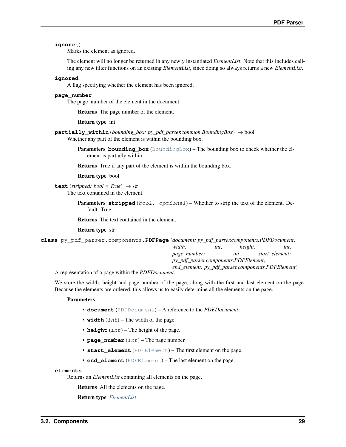#### <span id="page-32-2"></span>**ignore**()

Marks the element as ignored.

The element will no longer be returned in any newly instantiated *ElementList*. Note that this includes calling any new filter functions on an existing *ElementList*, since doing so always returns a new *ElementList*.

#### **ignored**

A flag specifying whether the element has been ignored.

#### **page\_number**

The page\_number of the element in the document.

Returns The page number of the element.

- Return type int
- **partially\_within**(*bounding\_box: py\_pdf\_parser.common.BoundingBox*) → bool Whether any part of the element is within the bounding box.
	- **Parameters bounding box** ([BoundingBox](#page-28-2)) The bounding box to check whether the element is partially within.

Returns True if any part of the element is within the bounding box.

#### Return type bool

<span id="page-32-0"></span>**text** (*stripped: bool* =  $True$ )  $\rightarrow$  str The text contained in the element.

> **Parameters stripped** (bool, optional) – Whether to strip the text of the element. Default: True.

Returns The text contained in the element.

#### Return type str

<span id="page-32-1"></span>

| class py pdf parser.components. PDFPage (document: py pdf parser.components. PDFDocument, |                                      |      |         |                                                   |
|-------------------------------------------------------------------------------------------|--------------------------------------|------|---------|---------------------------------------------------|
|                                                                                           | width:                               | int. | height: | int.                                              |
|                                                                                           | page_number:                         |      | int.    | start element:                                    |
|                                                                                           | py_pdf_parser.components.PDFElement, |      |         |                                                   |
|                                                                                           |                                      |      |         | end_element: py_pdf_parser.components.PDFElement) |
| A representation of a page within the PDFDocument                                         |                                      |      |         |                                                   |

A representation of a page within the *PDFDocument*.

We store the width, height and page number of the page, along with the first and last element on the page. Because the elements are ordered, this allows us to easily determine all the elements on the page.

#### **Parameters**

- **document** ([PDFDocument](#page-29-1)) A reference to the *PDFDocument*.
- **width**  $(int)$  The width of the page.
- **height**  $(int)$  The height of the page.
- **page\_number**  $(int)$  The page number.
- **start\_element** ([PDFElement](#page-30-0)) The first element on the page.
- **end\_element** ([PDFElement](#page-30-0)) The last element on the page.

#### **elements**

Returns an *ElementList* containing all elements on the page.

Returns All the elements on the page.

Return type *[ElementList](#page-33-1)*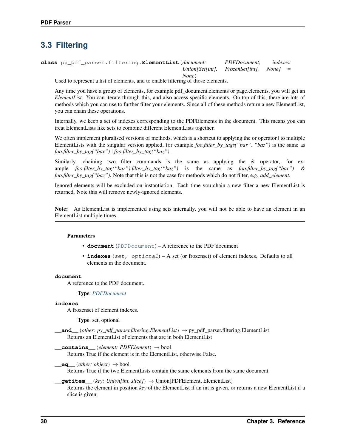## <span id="page-33-3"></span><span id="page-33-0"></span>**3.3 Filtering**

<span id="page-33-1"></span>**class** py\_pdf\_parser.filtering.**ElementList**(*document: PDFDocument, indexes: Union[Set[int], FrozenSet[int], None] = None*)

Used to represent a list of elements, and to enable filtering of those elements.

Any time you have a group of elements, for example pdf document.elements or page.elements, you will get an *ElementList*. You can iterate through this, and also access specific elements. On top of this, there are lots of methods which you can use to further filter your elements. Since all of these methods return a new ElementList, you can chain these operations.

Internally, we keep a set of indexes corresponding to the PDFElements in the document. This means you can treat ElementLists like sets to combine different ElementLists together.

We often implement pluralised versions of methods, which is a shortcut to applying the or operator to multiple ElementLists with the singular version applied, for example *foo.filter\_by\_tags("bar", "baz")* is the same as *foo.filter\_by\_tag("bar") | foo.filter\_by\_tag("baz")*.

Similarly, chaining two filter commands is the same as applying the & operator, for example *foo.filter\_by\_tag("bar").filter\_by\_tag("baz")* is the same as *foo.filter\_by\_tag("bar") & foo.filter\_by\_tag("baz")*. Note that this is not the case for methods which do not filter, e.g. *add\_element*.

Ignored elements will be excluded on instantiation. Each time you chain a new filter a new ElementList is returned. Note this will remove newly-ignored elements.

Note: As ElementList is implemented using sets internally, you will not be able to have an element in an ElementList multiple times.

#### **Parameters**

- **document** ([PDFDocument](#page-29-1)) A reference to the PDF document
- **indexes** (set, optional) A set (or frozenset) of element indexes. Defaults to all elements in the document.

#### **document**

A reference to the PDF document.

Type *[PDFDocument](#page-29-1)*

#### **indexes**

A frozenset of element indexes.

Type set, optional

<span id="page-33-2"></span>**\_\_and\_\_**(*other: py\_pdf\_parser.filtering.ElementList*) → py\_pdf\_parser.filtering.ElementList Returns an ElementList of elements that are in both ElementList

**\_\_contains\_\_**(*element: PDFElement*) → bool Returns True if the element is in the ElementList, otherwise False.

 $\qquad \qquad \text{eq} \qquad (other: object) \rightarrow bool$ Returns True if the two ElementLists contain the same elements from the same document.

**\_\_getitem\_\_**(*key: Union[int, slice]*) → Union[PDFElement, ElementList] Returns the element in position *key* of the ElementList if an int is given, or returns a new ElementList if a slice is given.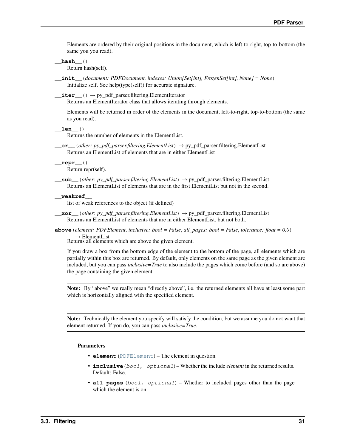<span id="page-34-3"></span>Elements are ordered by their original positions in the document, which is left-to-right, top-to-bottom (the same you you read).

**\_\_hash\_\_**()

Return hash(self).

**\_\_init\_\_**(*document: PDFDocument, indexes: Union[Set[int], FrozenSet[int], None] = None*) Initialize self. See help(type(self)) for accurate signature.

 $\rule{1em}{0}$   $\rightarrow$  py\_pdf\_parser.filtering.ElementIterator

Returns an ElementIterator class that allows iterating through elements.

Elements will be returned in order of the elements in the document, left-to-right, top-to-bottom (the same as you read).

**\_\_len\_\_**()

Returns the number of elements in the ElementList.

<span id="page-34-0"></span>**\_\_or\_\_**(*other: py\_pdf\_parser.filtering.ElementList*) → py\_pdf\_parser.filtering.ElementList Returns an ElementList of elements that are in either ElementList

**\_\_repr\_\_**() Return repr(self).

<span id="page-34-1"></span>**\_\_sub\_\_**(*other: py\_pdf\_parser.filtering.ElementList*) → py\_pdf\_parser.filtering.ElementList Returns an ElementList of elements that are in the first ElementList but not in the second.

**\_\_weakref\_\_**

list of weak references to the object (if defined)

<span id="page-34-2"></span>**\_\_xor\_\_**(*other: py\_pdf\_parser.filtering.ElementList*) → py\_pdf\_parser.filtering.ElementList Returns an ElementList of elements that are in either ElementList, but not both.

**above**(*element: PDFElement*, *inclusive: bool = False*, *all\_pages: bool = False*, *tolerance: float = 0.0*)

→ ElementList Returns all elements which are above the given element.

If you draw a box from the bottom edge of the element to the bottom of the page, all elements which are partially within this box are returned. By default, only elements on the same page as the given element are included, but you can pass *inclusive=True* to also include the pages which come before (and so are above) the page containing the given element.

Note: By "above" we really mean "directly above", i.e. the returned elements all have at least some part which is horizontally aligned with the specified element.

Note: Technically the element you specify will satisfy the condition, but we assume you do not want that element returned. If you do, you can pass *inclusive=True*.

#### Parameters

- **element** ([PDFElement](#page-30-0)) The element in question.
- **inclusive** (bool, optional) Whether the include *element* in the returned results. Default: False.
- **all\_pages** (bool, optional) Whether to included pages other than the page which the element is on.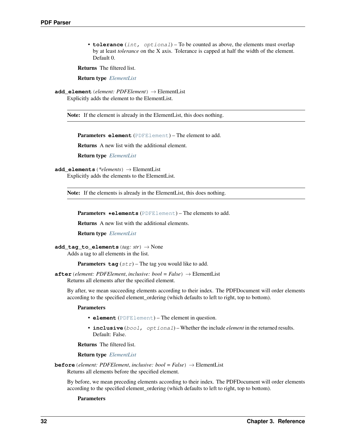<span id="page-35-2"></span>• **tolerance** (int, optional) – To be counted as above, the elements must overlap by at least *tolerance* on the X axis. Tolerance is capped at half the width of the element. Default 0.

Returns The filtered list.

Return type *[ElementList](#page-33-1)*

**add\_element**(*element: PDFElement*) → ElementList Explicitly adds the element to the ElementList.

Note: If the element is already in the ElementList, this does nothing.

Parameters **element** ([PDFElement](#page-30-0)) – The element to add.

Returns A new list with the additional element.

Return type *[ElementList](#page-33-1)*

```
add_elements(*elements) → ElementList
```
Explicitly adds the elements to the ElementList.

Note: If the elements is already in the ElementList, this does nothing.

Parameters **\*elements** ([PDFElement](#page-30-0)) – The elements to add.

Returns A new list with the additional elements.

Return type *[ElementList](#page-33-1)*

```
add_tag_to_elements(tag: str) → None
```
Adds a tag to all elements in the list.

**Parameters**  $\text{tag}(str)$  **– The tag you would like to add.** 

<span id="page-35-1"></span>**after** (*element: PDFElement, inclusive: bool = False*)  $\rightarrow$  ElementList Returns all elements after the specified element.

By after, we mean succeeding elements according to their index. The PDFDocument will order elements according to the specified element\_ordering (which defaults to left to right, top to bottom).

#### Parameters

- **element** ([PDFElement](#page-30-0)) The element in question.
- **inclusive** (bool, optional) Whether the include *element* in the returned results. Default: False.

Returns The filtered list.

#### Return type *[ElementList](#page-33-1)*

**before**(*element: PDFElement*, *inclusive: bool = False*) → ElementList Returns all elements before the specified element.

By before, we mean preceding elements according to their index. The PDFDocument will order elements according to the specified element\_ordering (which defaults to left to right, top to bottom).

#### Parameters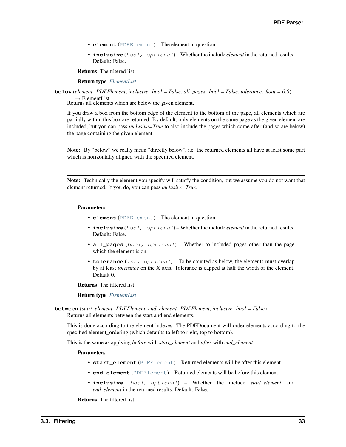- <span id="page-36-0"></span>• **element** ([PDFElement](#page-30-0)) – The element in question.
- **inclusive** (bool, optional) Whether the include *element* in the returned results. Default: False.

Returns The filtered list.

Return type *[ElementList](#page-33-1)*

**below**(*element: PDFElement*, *inclusive: bool = False*, *all\_pages: bool = False*, *tolerance: float = 0.0*)  $\rightarrow$  ElementList

Returns all elements which are below the given element.

If you draw a box from the bottom edge of the element to the bottom of the page, all elements which are partially within this box are returned. By default, only elements on the same page as the given element are included, but you can pass *inclusive=True* to also include the pages which come after (and so are below) the page containing the given element.

Note: By "below" we really mean "directly below", i.e. the returned elements all have at least some part which is horizontally aligned with the specified element.

Note: Technically the element you specify will satisfy the condition, but we assume you do not want that element returned. If you do, you can pass *inclusive=True*.

#### Parameters

- **element** ([PDFElement](#page-30-0)) The element in question.
- **inclusive** (bool, optional) Whether the include *element* in the returned results. Default: False.
- **all\_pages** (bool, optional) Whether to included pages other than the page which the element is on.
- **tolerance** (int, optional) To be counted as below, the elements must overlap by at least *tolerance* on the X axis. Tolerance is capped at half the width of the element. Default 0.

Returns The filtered list.

#### Return type *[ElementList](#page-33-1)*

**between**(*start\_element: PDFElement*, *end\_element: PDFElement*, *inclusive: bool = False*) Returns all elements between the start and end elements.

This is done according to the element indexes. The PDFDocument will order elements according to the specified element\_ordering (which defaults to left to right, top to bottom).

This is the same as applying *before* with *start\_element* and *after* with *end\_element*.

#### Parameters

- **start\_element** ([PDFElement](#page-30-0)) Returned elements will be after this element.
- **end\_element** ([PDFElement](#page-30-0)) Returned elements will be before this element.
- inclusive (bool, optional) Whether the include *start element* and *end\_element* in the returned results. Default: False.

Returns The filtered list.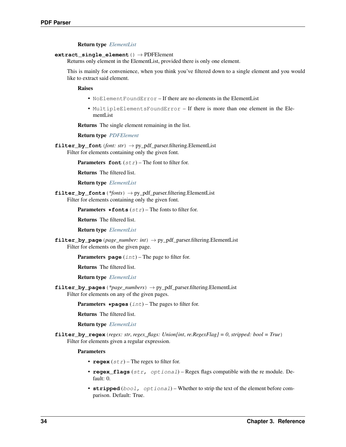#### Return type *[ElementList](#page-33-1)*

#### <span id="page-37-2"></span><span id="page-37-0"></span>**extract\_single\_element**() → PDFElement

Returns only element in the ElementList, provided there is only one element.

This is mainly for convenience, when you think you've filtered down to a single element and you would like to extract said element.

Raises

- NoElement FoundError If there are no elements in the ElementList
- MultipleElementsFoundError If there is more than one element in the ElementList

Returns The single element remaining in the list.

Return type *[PDFElement](#page-30-0)*

**filter\_by\_font** (*font: str*)  $\rightarrow$  py\_pdf\_parser.filtering.ElementList Filter for elements containing only the given font.

**Parameters font**  $(str)$  – The font to filter for.

Returns The filtered list.

Return type *[ElementList](#page-33-1)*

<span id="page-37-1"></span>**filter\_by\_fonts**(*\*fonts*) → py\_pdf\_parser.filtering.ElementList Filter for elements containing only the given font.

**Parameters**  $\star$  **fonts** (str) – The fonts to filter for.

Returns The filtered list.

Return type *[ElementList](#page-33-1)*

**filter\_by\_page**(*page\_number: int*) → py\_pdf\_parser.filtering.ElementList Filter for elements on the given page.

**Parameters page** (int) – The page to filter for.

Returns The filtered list.

Return type *[ElementList](#page-33-1)*

**filter\_by\_pages**(*\*page\_numbers*) → py\_pdf\_parser.filtering.ElementList Filter for elements on any of the given pages.

**Parameters**  $\star$  **pages** (int) – The pages to filter for.

Returns The filtered list.

Return type *[ElementList](#page-33-1)*

**filter\_by\_regex**(*regex: str*, *regex\_flags: Union[int*, *re.RegexFlag] = 0*, *stripped: bool = True*) Filter for elements given a regular expression.

Parameters

- **regex**  $(str)$  The regex to filter for.
- **regex\_flags** (str, optional) Regex flags compatible with the re module. Default: 0.
- **stripped** (bool, optional) Whether to strip the text of the element before comparison. Default: True.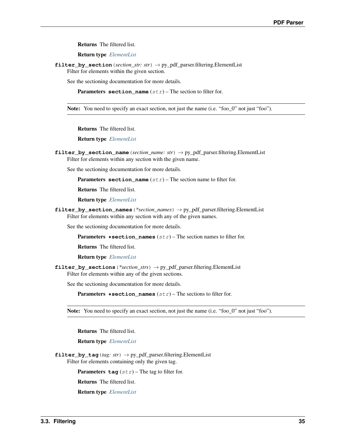<span id="page-38-0"></span>Returns The filtered list.

Return type *[ElementList](#page-33-1)*

**filter\_by\_section**(*section\_str: str*) → py\_pdf\_parser.filtering.ElementList Filter for elements within the given section.

See the sectioning documentation for more details.

**Parameters section\_name**  $(str)$  – The section to filter for.

Note: You need to specify an exact section, not just the name (i.e. "foo\_0" not just "foo").

Returns The filtered list.

Return type *[ElementList](#page-33-1)*

**filter\_by\_section\_name**(*section\_name: str*) → py\_pdf\_parser.filtering.ElementList Filter for elements within any section with the given name.

See the sectioning documentation for more details.

**Parameters section\_name** (str) – The section name to filter for.

Returns The filtered list.

Return type *[ElementList](#page-33-1)*

**filter\_by\_section\_names**(*\*section\_names*) → py\_pdf\_parser.filtering.ElementList Filter for elements within any section with any of the given names.

See the sectioning documentation for more details.

**Parameters \*section\_names**  $(str)$  – The section names to filter for.

Returns The filtered list.

Return type *[ElementList](#page-33-1)*

**filter\_by\_sections**(*\*section\_strs*) → py\_pdf\_parser.filtering.ElementList Filter for elements within any of the given sections.

See the sectioning documentation for more details.

**Parameters \*section\_names**  $(str)$  – The sections to filter for.

Note: You need to specify an exact section, not just the name (i.e. "foo 0" not just "foo").

Returns The filtered list.

Return type *[ElementList](#page-33-1)*

**filter\_by\_tag**(*tag: str*) → py\_pdf\_parser.filtering.ElementList Filter for elements containing only the given tag.

**Parameters**  $\text{tag}(str)$  **– The tag to filter for.** 

Returns The filtered list.

Return type *[ElementList](#page-33-1)*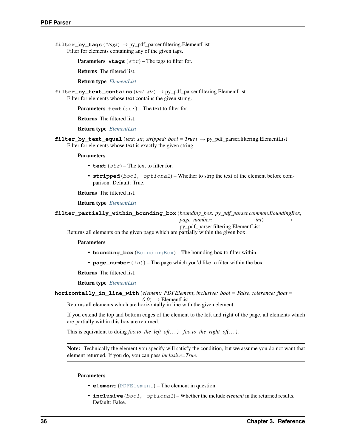<span id="page-39-1"></span>**filter** by tags (*\*tags*)  $\rightarrow$  py pdf parser.filtering.ElementList Filter for elements containing any of the given tags.

**Parameters**  $\star$ **tags** (str) – The tags to filter for.

Returns The filtered list.

Return type *[ElementList](#page-33-1)*

**filter\_by\_text\_contains**(*text: str*) → py\_pdf\_parser.filtering.ElementList Filter for elements whose text contains the given string.

**Parameters text**  $(str)$  – The text to filter for.

Returns The filtered list.

Return type *[ElementList](#page-33-1)*

<span id="page-39-0"></span>**filter\_by\_text\_equal**(*text: str*, *stripped: bool = True*) → py\_pdf\_parser.filtering.ElementList Filter for elements whose text is exactly the given string.

#### Parameters

- **text**  $(str)$  The text to filter for.
- **stripped** (bool, optional) Whether to strip the text of the element before comparison. Default: True.

Returns The filtered list.

Return type *[ElementList](#page-33-1)*

**filter\_partially\_within\_bounding\_box**(*bounding\_box: py\_pdf\_parser.common.BoundingBox*, *page\_number: int*)

py\_pdf\_parser.filtering.ElementList

Returns all elements on the given page which are partially within the given box.

Parameters

- **bounding\_box** ([BoundingBox](#page-28-2)) The bounding box to filter within.
- **page\_number** (int) The page which you'd like to filter within the box.

Returns The filtered list.

Return type *[ElementList](#page-33-1)*

```
horizontally_in_line_with(element: PDFElement, inclusive: bool = False, tolerance: float =
                                     (0,0) \rightarrow ElementList
```
Returns all elements which are horizontally in line with the given element.

If you extend the top and bottom edges of the element to the left and right of the page, all elements which are partially within this box are returned.

This is equivalent to doing *foo.to\_the\_left\_of(. . . ) | foo.to\_the\_right\_of(. . . )*.

Note: Technically the element you specify will satisfy the condition, but we assume you do not want that element returned. If you do, you can pass *inclusive=True*.

#### Parameters

- **element** ([PDFElement](#page-30-0)) The element in question.
- **inclusive** (bool, optional) Whether the include *element* in the returned results. Default: False.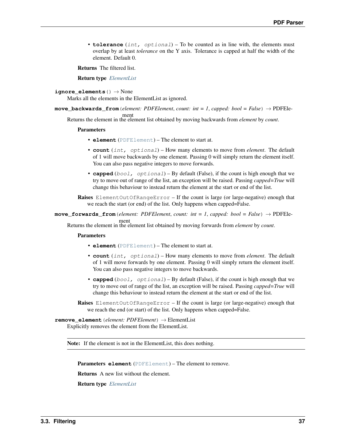<span id="page-40-1"></span>• **tolerance** (int, optional) – To be counted as in line with, the elements must overlap by at least *tolerance* on the Y axis. Tolerance is capped at half the width of the element. Default 0.

Returns The filtered list.

Return type *[ElementList](#page-33-1)*

```
ignore_elements() → None
```
Marks all the elements in the ElementList as ignored.

**move\_backwards\_from**(*element: PDFElement*, *count: int = 1*, *capped: bool = False*) → PDFEle-

ment Returns the element in the element list obtained by moving backwards from *element* by *count*.

#### **Parameters**

- **element** ([PDFElement](#page-30-0)) The element to start at.
- **count** (int, optional) How many elements to move from *element*. The default of 1 will move backwards by one element. Passing 0 will simply return the element itself. You can also pass negative integers to move forwards.
- **capped** (bool, optional) By default (False), if the count is high enough that we try to move out of range of the list, an exception will be raised. Passing *capped=True* will change this behaviour to instead return the element at the start or end of the list.

Raises ElementOutOfRangeError – If the count is large (or large-negative) enough that we reach the start (or end) of the list. Only happens when capped=False.

 $move _{forwards _}from (element: PDFElement, count: int = 1, capped: bool = False) \rightarrow PDFEle-$ 

ment Returns the element in the element list obtained by moving forwards from *element* by *count*.

#### Parameters

- **element** ([PDFElement](#page-30-0)) The element to start at.
- **count** (int, optional) How many elements to move from *element*. The default of 1 will move forwards by one element. Passing 0 will simply return the element itself. You can also pass negative integers to move backwards.
- **capped**  $(bool, *optional*)$  By default (False), if the count is high enough that we try to move out of range of the list, an exception will be raised. Passing *capped=True* will change this behaviour to instead return the element at the start or end of the list.

Raises ElementOutOfRangeError – If the count is large (or large-negative) enough that we reach the end (or start) of the list. Only happens when capped=False.

#### <span id="page-40-0"></span>**remove\_element**(*element: PDFElement*) → ElementList Explicitly removes the element from the ElementList.

Note: If the element is not in the ElementList, this does nothing.

Parameters **element** ([PDFElement](#page-30-0)) – The element to remove.

Returns A new list without the element.

Return type *[ElementList](#page-33-1)*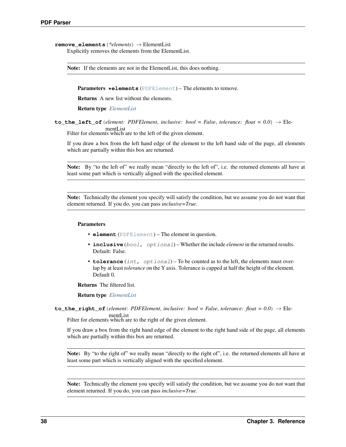```
remove_elements(*elements) → ElementList
     Explicitly removes the elements from the ElementList.
```
Note: If the elements are not in the ElementList, this does nothing.

Parameters **\*elements** ([PDFElement](#page-30-0)) – The elements to remove.

Returns A new list without the elements.

Return type *[ElementList](#page-33-1)*

**to\_the\_left\_of** (*element: PDFElement, inclusive: bool = False, tolerance: float = 0.0*)  $\rightarrow$  ElementList

Filter for elements which are to the left of the given element.

If you draw a box from the left hand edge of the element to the left hand side of the page, all elements which are partially within this box are returned.

Note: By "to the left of" we really mean "directly to the left of", i.e. the returned elements all have at least some part which is vertically aligned with the specified element.

Note: Technically the element you specify will satisfy the condition, but we assume you do not want that element returned. If you do, you can pass *inclusive=True*.

#### Parameters

- **element** ([PDFElement](#page-30-0)) The element in question.
- **inclusive** (bool, optional) Whether the include *element* in the returned results. Default: False.
- **tolerance** (int, optional) To be counted as to the left, the elements must overlap by at least *tolerance* on the Y axis. Tolerance is capped at half the height of the element. Default 0.

Returns The filtered list.

Return type *[ElementList](#page-33-1)*

<span id="page-41-0"></span>**to\_the\_right\_of**(*element: PDFElement, inclusive: bool = False, tolerance: float =*  $0.0$ *)*  $\rightarrow$  *Ele-*

mentList Filter for elements which are to the right of the given element.

If you draw a box from the right hand edge of the element to the right hand side of the page, all elements which are partially within this box are returned.

Note: By "to the right of" we really mean "directly to the right of", i.e. the returned elements all have at least some part which is vertically aligned with the specified element.

Note: Technically the element you specify will satisfy the condition, but we assume you do not want that element returned. If you do, you can pass *inclusive=True*.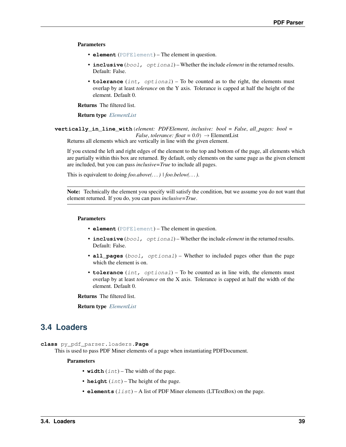#### <span id="page-42-2"></span>Parameters

- **element** ([PDFElement](#page-30-0)) The element in question.
- **inclusive** (bool, optional) Whether the include *element* in the returned results. Default: False.
- **tolerance** (int, optional) To be counted as to the right, the elements must overlap by at least *tolerance* on the Y axis. Tolerance is capped at half the height of the element. Default 0.

Returns The filtered list.

Return type *[ElementList](#page-33-1)*

**vertically\_in\_line\_with**(*element: PDFElement*, *inclusive: bool = False*, *all\_pages: bool = False*, *tolerance:*  $float = 0.0$   $\rightarrow$  ElementList

Returns all elements which are vertically in line with the given element.

If you extend the left and right edges of the element to the top and bottom of the page, all elements which are partially within this box are returned. By default, only elements on the same page as the given element are included, but you can pass *inclusive=True* to include all pages.

This is equivalent to doing *foo.above(. . . ) | foo.below(. . . )*.

Note: Technically the element you specify will satisfy the condition, but we assume you do not want that element returned. If you do, you can pass *inclusive=True*.

#### Parameters

- **element** ([PDFElement](#page-30-0)) The element in question.
- **inclusive** (bool, optional) Whether the include *element* in the returned results. Default: False.
- **all\_pages** (bool, optional) Whether to included pages other than the page which the element is on.
- **tolerance** (int, optional) To be counted as in line with, the elements must overlap by at least *tolerance* on the X axis. Tolerance is capped at half the width of the element. Default 0.

Returns The filtered list.

Return type *[ElementList](#page-33-1)*

## <span id="page-42-0"></span>**3.4 Loaders**

<span id="page-42-1"></span>**class** py\_pdf\_parser.loaders.**Page**

This is used to pass PDF Miner elements of a page when instantiating PDFDocument.

#### **Parameters**

- **width**  $(int)$  The width of the page.
- **height**  $(int)$  The height of the page.
- **elements**  $(iist) A$  list of PDF Miner elements (LTTextBox) on the page.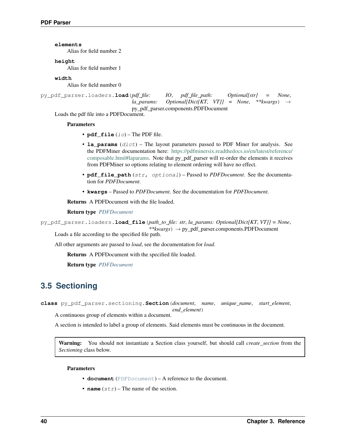<span id="page-43-4"></span>**elements**

Alias for field number 2

#### **height**

Alias for field number 1

**width**

Alias for field number 0

```
py_pdf_parser.loaders.load(pdf_file: IO, pdf_file_path: Optional[str] = None,
                              la_params: Optional[Dict[KT, VT]] = None, **kwargs) →
                              py_pdf_parser.components.PDFDocument
```
Loads the pdf file into a PDFDocument.

#### Parameters

- **pdf\_file** (io) The PDF file.
- **la\_params** (dict) The layout parameters passed to PDF Miner for analysis. See the PDFMiner documentation here: [https://pdfminersix.readthedocs.io/en/latest/reference/](https://pdfminersix.readthedocs.io/en/latest/reference/composable.html#laparams) [composable.html#laparams.](https://pdfminersix.readthedocs.io/en/latest/reference/composable.html#laparams) Note that py\_pdf\_parser will re-order the elements it receives from PDFMiner so options relating to element ordering will have no effect.
- **pdf\_file\_path** (str, optional) Passed to *PDFDocument*. See the documentation for *PDFDocument*.
- **kwargs** Passed to *PDFDocument*. See the documentation for *PDFDocument*.

Returns A PDFDocument with the file loaded.

#### Return type *[PDFDocument](#page-29-1)*

<span id="page-43-1"></span>py\_pdf\_parser.loaders.**load\_file**(*path\_to\_file: str*, *la\_params: Optional[Dict[KT*, *VT]] = None*,

*\*\*kwargs*) → py\_pdf\_parser.components.PDFDocument Loads a file according to the specified file path.

All other arguments are passed to *load*, see the documentation for *load*.

Returns A PDFDocument with the specified file loaded.

Return type *[PDFDocument](#page-29-1)*

## <span id="page-43-0"></span>**3.5 Sectioning**

<span id="page-43-3"></span>**class** py\_pdf\_parser.sectioning.**Section**(*document*, *name*, *unique\_name*, *start\_element*,

*end\_element*) A continuous group of elements within a document.

A section is intended to label a group of elements. Said elements must be continuous in the document.

Warning: You should not instantiate a Section class yourself, but should call *create\_section* from the *Sectioning* class below.

#### Parameters

- **document** ([PDFDocument](#page-29-1)) A reference to the document.
- **name**  $(str)$  The name of the section.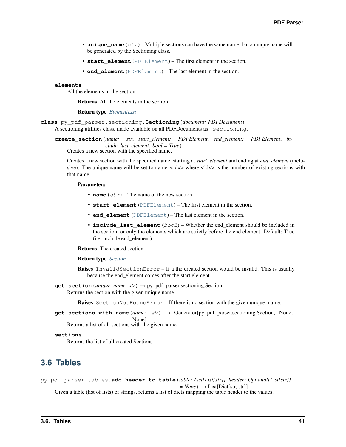- <span id="page-44-7"></span>• **unique** name  $(str)$  – Multiple sections can have the same name, but a unique name will be generated by the Sectioning class.
- **start\_element** ([PDFElement](#page-30-0)) The first element in the section.
- **end element** ([PDFElement](#page-30-0)) The last element in the section.

#### <span id="page-44-3"></span>**elements**

All the elements in the section.

Returns All the elements in the section.

#### Return type *[ElementList](#page-33-1)*

<span id="page-44-2"></span><span id="page-44-1"></span>**class** py\_pdf\_parser.sectioning.**Sectioning**(*document: PDFDocument*) A sectioning utilities class, made available on all PDFDocuments as .sectioning.

**create\_section**(*name: str*, *start\_element: PDFElement*, *end\_element: PDFElement*, *include\_last\_element: bool = True*) Creates a new section with the specified name.

Creates a new section with the specified name, starting at *start\_element* and ending at *end\_element* (inclusive). The unique name will be set to name\_<idx> where  $\langle \text{idx} \rangle$  is the number of existing sections with that name.

#### Parameters

- **name**  $(str)$  The name of the new section.
- **start\_element** ([PDFElement](#page-30-0)) The first element in the section.
- **end\_element** ([PDFElement](#page-30-0)) The last element in the section.
- **include\_last\_element** (bool) Whether the end\_element should be included in the section, or only the elements which are strictly before the end element. Default: True (i.e. include end\_element).

Returns The created section.

#### Return type *[Section](#page-43-3)*

Raises InvalidSectionError – If a the created section would be invalid. This is usually because the end element comes after the start element.

<span id="page-44-4"></span>**get\_section**(*unique\_name: str*) → py\_pdf\_parser.sectioning.Section Returns the section with the given unique name.

Raises SectionNotFoundError – If there is no section with the given unique\_name.

<span id="page-44-5"></span>**get\_sections\_with\_name**(*name: str*) → Generator[py\_pdf\_parser.sectioning.Section, None, None]

Returns a list of all sections with the given name.

#### **sections**

Returns the list of all created Sections.

## <span id="page-44-0"></span>**3.6 Tables**

<span id="page-44-6"></span>py\_pdf\_parser.tables.**add\_header\_to\_table**(*table: List[List[str]], header: Optional[List[str]]*

 $= None$ )  $\rightarrow$  List[Dict[str, str]]

Given a table (list of lists) of strings, returns a list of dicts mapping the table header to the values.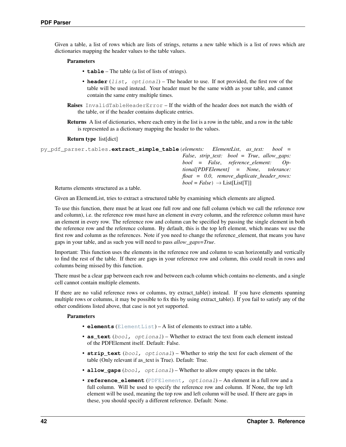<span id="page-45-1"></span>Given a table, a list of rows which are lists of strings, returns a new table which is a list of rows which are dictionaries mapping the header values to the table values.

#### Parameters

- **table** The table (a list of lists of strings).
- **header** (list, optional) The header to use. If not provided, the first row of the table will be used instead. Your header must be the same width as your table, and cannot contain the same entry multiple times.
- Raises InvalidTableHeaderError If the width of the header does not match the width of the table, or if the header contains duplicate entries.
- Returns A list of dictionaries, where each entry in the list is a row in the table, and a row in the table is represented as a dictionary mapping the header to the values.

#### Return type list[dict]

<span id="page-45-0"></span>

| py pdf parser.tables.extract simple table (elements: ElementList, as text: bool = |                                                                           |
|-----------------------------------------------------------------------------------|---------------------------------------------------------------------------|
|                                                                                   | <i>False</i> , <i>strip_text: bool</i> = <i>True</i> , <i>allow_gaps:</i> |
|                                                                                   | $bool = False, reference\_element: Op-$                                   |
|                                                                                   | $\text{tional}[\text{PDFElement}] = \text{None}, \text{tolerance:}$       |
|                                                                                   | $float = 0.0, remove\_ duplicate\_header\_rows:$                          |
|                                                                                   | $bool = False$ $\rightarrow$ List[List[T]]                                |
| Returns elements structured as a table.                                           |                                                                           |

Given an ElementList, tries to extract a structured table by examining which elements are aligned.

To use this function, there must be at least one full row and one full column (which we call the reference row and column), i.e. the reference row must have an element in every column, and the reference column must have an element in every row. The reference row and column can be specified by passing the single element in both the reference row and the reference column. By default, this is the top left element, which means we use the first row and column as the references. Note if you need to change the reference\_element, that means you have gaps in your table, and as such you will need to pass *allow\_gaps=True*.

Important: This function uses the elements in the reference row and column to scan horizontally and vertically to find the rest of the table. If there are gaps in your reference row and column, this could result in rows and columns being missed by this function.

There must be a clear gap between each row and between each column which contains no elements, and a single cell cannot contain multiple elements.

If there are no valid reference rows or columns, try extract\_table() instead. If you have elements spanning multiple rows or columns, it may be possible to fix this by using extract\_table(). If you fail to satisfy any of the other conditions listed above, that case is not yet supported.

#### **Parameters**

- **elements** ([ElementList](#page-33-1)) A list of elements to extract into a table.
- **as text** (bool, optional) Whether to extract the text from each element instead of the PDFElement itself. Default: False.
- **strip\_text** (bool, optional) Whether to strip the text for each element of the table (Only relevant if as\_text is True). Default: True.
- **allow\_gaps** (bool, optional) Whether to allow empty spaces in the table.
- **reference\_element** ([PDFElement](#page-30-0), optional) An element in a full row and a full column. Will be used to specify the reference row and column. If None, the top left element will be used, meaning the top row and left column will be used. If there are gaps in these, you should specify a different reference. Default: None.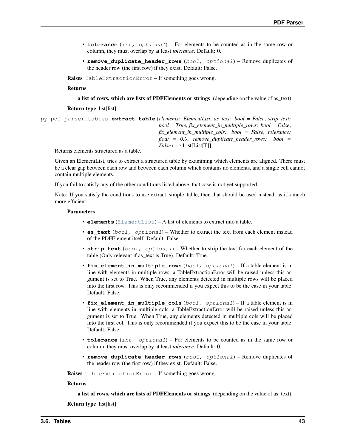- <span id="page-46-1"></span>• **tolerance** (int, optional) – For elements to be counted as in the same row or column, they must overlap by at least *tolerance*. Default: 0.
- **remove\_duplicate\_header\_rows** (bool, optional) Remove duplicates of the header row (the first row) if they exist. Default: False.

Raises TableExtractionError – If something goes wrong.

Returns

a list of rows, which are lists of PDFElements or strings (depending on the value of as\_text).

Return type list[list]

<span id="page-46-0"></span>py\_pdf\_parser.tables.**extract\_table**(*elements: ElementList*, *as\_text: bool = False*, *strip\_text: bool = True*, *fix\_element\_in\_multiple\_rows: bool = False*, *fix\_element\_in\_multiple\_cols: bool = False*, *tolerance: float = 0.0*, *remove\_duplicate\_header\_rows: bool =*  $False$ )  $\rightarrow$  List[List[T]]

Returns elements structured as a table.

Given an ElementList, tries to extract a structured table by examining which elements are aligned. There must be a clear gap between each row and between each column which contains no elements, and a single cell cannot contain multiple elements.

If you fail to satisfy any of the other conditions listed above, that case is not yet supported.

Note: If you satisfy the conditions to use extract\_simple\_table, then that should be used instead, as it's much more efficient.

#### **Parameters**

- **elements** ([ElementList](#page-33-1)) A list of elements to extract into a table.
- **as\_text** (bool, optional) Whether to extract the text from each element instead of the PDFElement itself. Default: False.
- **strip\_text** (bool, optional) Whether to strip the text for each element of the table (Only relevant if as text is True). Default: True.
- **fix\_element\_in\_multiple\_rows** (bool, optional) If a table element is in line with elements in multiple rows, a TableExtractionError will be raised unless this argument is set to True. When True, any elements detected in multiple rows will be placed into the first row. This is only recommended if you expect this to be the case in your table. Default: False.
- **fix\_element\_in\_multiple\_cols** (bool, optional) If a table element is in line with elements in multiple cols, a TableExtractionError will be raised unless this argument is set to True. When True, any elements detected in multiple cols will be placed into the first col. This is only recommended if you expect this to be the case in your table. Default: False.
- **tolerance** (int, optional) For elements to be counted as in the same row or column, they must overlap by at least *tolerance*. Default: 0.
- **remove\_duplicate\_header\_rows** (bool, optional) Remove duplicates of the header row (the first row) if they exist. Default: False.

Raises TableExtractionError – If something goes wrong.

#### Returns

a list of rows, which are lists of PDFElements or strings (depending on the value of as\_text).

Return type list[list]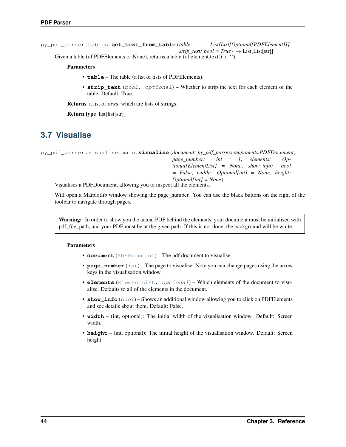```
py_pdf_parser.tables.get_text_from_table(table: List[List[Optional[PDFElement]]],
                                                         strip_text: bool = True) \rightarrow List[List[str]]
     Given a table (of PDFE lements or None), returns a table (of element.text() or \cdot).
```
Parameters

- **table** The table (a list of lists of PDFElements).
- **strip\_text** (bool, optional) Whether to strip the text for each element of the table. Default: True.

Returns a list of rows, which are lists of strings.

Return type list[list[str]]

## <span id="page-47-0"></span>**3.7 Visualise**

<span id="page-47-1"></span>py\_pdf\_parser.visualise.main.**visualise**(*document: py\_pdf\_parser.components.PDFDocument*, *page\_number: int = 1*, *elements: Optional[ElementList] = None*, *show\_info: bool = False*, *width: Optional[int] = None*, *height: Optional[int] = None*)

Visualises a PDFDocument, allowing you to inspect all the elements.

Will open a Matplotlib window showing the page\_number. You can use the black buttons on the right of the toolbar to navigate through pages.

Warning: In order to show you the actual PDF behind the elements, your document must be initialised with pdf\_file\_path, and your PDF must be at the given path. If this is not done, the background will be white.

#### Parameters

- **document** ([PDFDocument](#page-29-1)) The pdf document to visualise.
- **page\_number** (int) The page to visualise. Note you can change pages using the arrow keys in the visualisation window.
- **elements** ([ElementList](#page-33-1), optional) Which elements of the document to visualise. Defaults to all of the elements in the document.
- **show** info (bool) Shows an additional window allowing you to click on PDFE lements and see details about them. Default: False.
- **width** (int, optional): The initial width of the visualisation window. Default: Screen width.
- **height** (int, optional): The initial height of the visualisation window. Default: Screen height.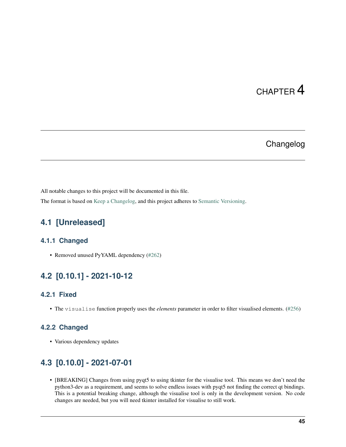## CHAPTER 4

## Changelog

<span id="page-48-0"></span>All notable changes to this project will be documented in this file.

The format is based on [Keep a Changelog,](https://keepachangelog.com/en/1.0.0/) and this project adheres to [Semantic Versioning.](https://semver.org/spec/v2.0.0.html)

## <span id="page-48-1"></span>**4.1 [Unreleased]**

### **4.1.1 Changed**

• Removed unused PyYAML dependency [\(#262\)](https://github.com/jstockwin/py-pdf-parser/pull/262)

## <span id="page-48-2"></span>**4.2 [0.10.1] - 2021-10-12**

### **4.2.1 Fixed**

• The visualise function properly uses the *elements* parameter in order to filter visualised elements. [\(#256\)](https://github.com/jstockwin/py-pdf-parser/pull/256)

### **4.2.2 Changed**

• Various dependency updates

## <span id="page-48-3"></span>**4.3 [0.10.0] - 2021-07-01**

• [BREAKING] Changes from using pyqt5 to using tkinter for the visualise tool. This means we don't need the python3-dev as a requirement, and seems to solve endless issues with pyqt5 not finding the correct qt bindings. This is a potential breaking change, although the visualise tool is only in the development version. No code changes are needed, but you will need tkinter installed for visualise to still work.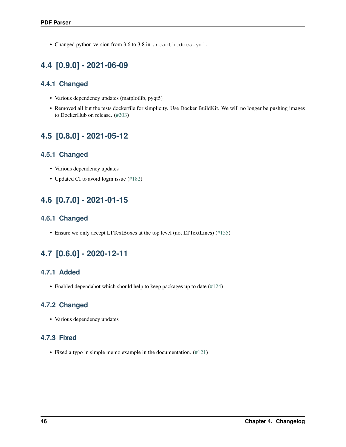• Changed python version from 3.6 to 3.8 in . readthedocs. yml.

## <span id="page-49-0"></span>**4.4 [0.9.0] - 2021-06-09**

## **4.4.1 Changed**

- Various dependency updates (matplotlib, pyqt5)
- Removed all but the tests dockerfile for simplicity. Use Docker BuildKit. We will no longer be pushing images to DockerHub on release. [\(#203\)](https://github.com/jstockwin/py-pdf-parser/pull/203)

## <span id="page-49-1"></span>**4.5 [0.8.0] - 2021-05-12**

## **4.5.1 Changed**

- Various dependency updates
- Updated CI to avoid login issue [\(#182\)](https://github.com/jstockwin/py-pdf-parser/pull/182)

## <span id="page-49-2"></span>**4.6 [0.7.0] - 2021-01-15**

## **4.6.1 Changed**

• Ensure we only accept LTTextBoxes at the top level (not LTTextLines) [\(#155\)](https://github.com/jstockwin/py-pdf-parser/pull/155)

## <span id="page-49-3"></span>**4.7 [0.6.0] - 2020-12-11**

## **4.7.1 Added**

• Enabled dependabot which should help to keep packages up to date [\(#124\)](https://github.com/jstockwin/py-pdf-parser/pull/124)

## **4.7.2 Changed**

• Various dependency updates

## **4.7.3 Fixed**

• Fixed a typo in simple memo example in the documentation. [\(#121\)](https://github.com/jstockwin/py-pdf-parser/pull/121)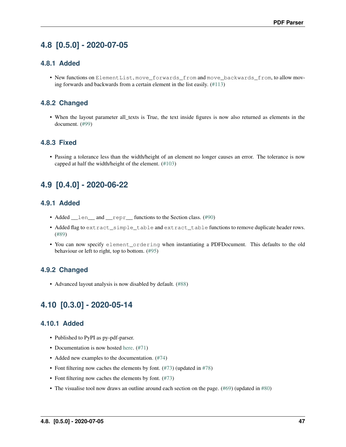## <span id="page-50-0"></span>**4.8 [0.5.0] - 2020-07-05**

### **4.8.1 Added**

• New functions on ElementList, move\_forwards\_from and move\_backwards\_from, to allow moving forwards and backwards from a certain element in the list easily. [\(#113\)](https://github.com/jstockwin/py-pdf-parser/pull/113)

### **4.8.2 Changed**

• When the layout parameter all\_texts is True, the text inside figures is now also returned as elements in the document. [\(#99\)](https://github.com/jstockwin/py-pdf-parser/pull/99)

### **4.8.3 Fixed**

• Passing a tolerance less than the width/height of an element no longer causes an error. The tolerance is now capped at half the width/height of the element. [\(#103\)](https://github.com/jstockwin/py-pdf-parser/pull/103)

## <span id="page-50-1"></span>**4.9 [0.4.0] - 2020-06-22**

### **4.9.1 Added**

- Added \_\_len\_and \_\_repr\_functions to the Section class. [\(#90\)](https://github.com/jstockwin/py-pdf-parser/pull/90)
- Added flag to extract simple table and extract table functions to remove duplicate header rows. [\(#89\)](https://github.com/jstockwin/py-pdf-parser/pull/89)
- You can now specify element\_ordering when instantiating a PDFDocument. This defaults to the old behaviour or left to right, top to bottom. [\(#95\)](https://github.com/jstockwin/py-pdf-parser/pull/95)

### **4.9.2 Changed**

• Advanced layout analysis is now disabled by default. [\(#88\)](https://github.com/jstockwin/py-pdf-parser/pull/88)

## <span id="page-50-2"></span>**4.10 [0.3.0] - 2020-05-14**

### **4.10.1 Added**

- Published to PyPI as py-pdf-parser.
- Documentation is now hosted [here.](https://py-pdf-parser.readthedocs.io/en/latest/) [\(#71\)](https://github.com/jstockwin/py-pdf-parser/pull/71)
- Added new examples to the documentation. [\(#74\)](https://github.com/jstockwin/py-pdf-parser/pull/74)
- Font filtering now caches the elements by font. [\(#73\)](https://github.com/jstockwin/py-pdf-parser/pull/73) (updated in [#78\)](https://github.com/jstockwin/py-pdf-parser/pull/78)
- Font filtering now caches the elements by font. [\(#73\)](https://github.com/jstockwin/py-pdf-parser/pull/73)
- The visualise tool now draws an outline around each section on the page. [\(#69\)](https://github.com/jstockwin/py-pdf-parser/pull/69) (updated in [#80\)](https://github.com/jstockwin/py-pdf-parser/pull/80)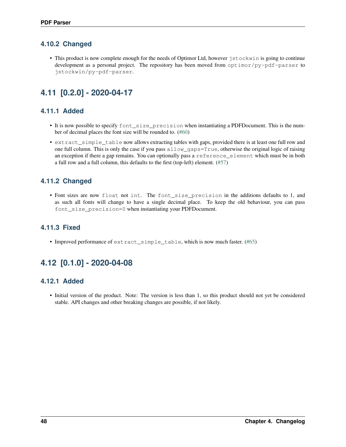## **4.10.2 Changed**

• This product is now complete enough for the needs of Optimor Ltd, however jstockwin is going to continue development as a personal project. The repository has been moved from optimor/py-pdf-parser to jstockwin/py-pdf-parser.

## <span id="page-51-0"></span>**4.11 [0.2.0] - 2020-04-17**

## **4.11.1 Added**

- It is now possible to specify font\_size\_precision when instantiating a PDFDocument. This is the number of decimal places the font size will be rounded to. [\(#60\)](https://github.com/jstockwin/py-pdf-parser/pull/60)
- extract\_simple\_table now allows extracting tables with gaps, provided there is at least one full row and one full column. This is only the case if you pass allow\_gaps=True, otherwise the original logic of raising an exception if there a gap remains. You can optionally pass a reference\_element which must be in both a full row and a full column, this defaults to the first (top-left) element. [\(#57\)](https://github.com/jstockwin/py-pdf-parser/pull/57)

## **4.11.2 Changed**

• Font sizes are now float not int. The font\_size\_precision in the additions defaults to 1, and as such all fonts will change to have a single decimal place. To keep the old behaviour, you can pass font\_size\_precision=0 when instantiating your PDFDocument.

## **4.11.3 Fixed**

• Improved performance of extract\_simple\_table, which is now much faster. [\(#65\)](https://github.com/jstockwin/py-pdf-parser/pull/65)

## <span id="page-51-1"></span>**4.12 [0.1.0] - 2020-04-08**

### **4.12.1 Added**

• Initial version of the product. Note: The version is less than 1, so this product should not yet be considered stable. API changes and other breaking changes are possible, if not likely.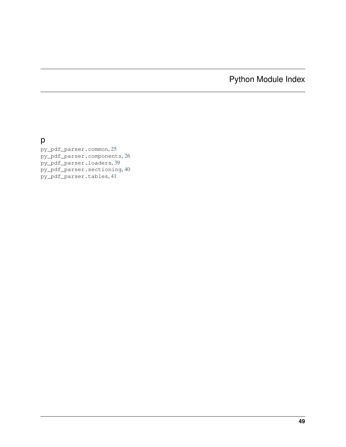Python Module Index

<span id="page-52-0"></span>p

py\_pdf\_parser.common, [25](#page-28-1) py\_pdf\_parser.components, [26](#page-29-0) py\_pdf\_parser.loaders, [39](#page-42-0) py\_pdf\_parser.sectioning, [40](#page-43-0) py\_pdf\_parser.tables, [41](#page-44-0)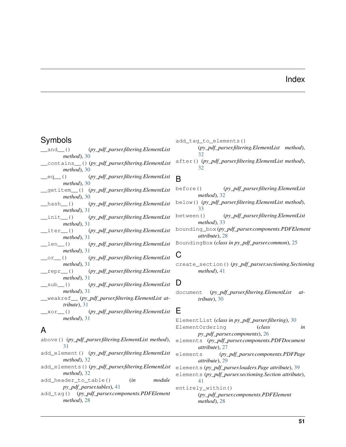## Index

## <span id="page-54-0"></span>Symbols

\_\_and\_\_() (*py\_pdf\_parser.filtering.ElementList method*), [30](#page-33-3) \_\_contains\_\_() (*py\_pdf\_parser.filtering.ElementList method*), [30](#page-33-3) \_\_eq\_\_() (*py\_pdf\_parser.filtering.ElementList method*), [30](#page-33-3) \_\_getitem\_\_() (*py\_pdf\_parser.filtering.ElementList method*), [30](#page-33-3) \_\_hash\_\_() (*py\_pdf\_parser.filtering.ElementList method*), [31](#page-34-3) \_\_init\_\_() (*py\_pdf\_parser.filtering.ElementList method*), [31](#page-34-3) \_\_iter\_\_() (*py\_pdf\_parser.filtering.ElementList method*), [31](#page-34-3) \_\_len\_\_() (*py\_pdf\_parser.filtering.ElementList method*), [31](#page-34-3) \_\_or\_\_() (*py\_pdf\_parser.filtering.ElementList method*), [31](#page-34-3) \_\_repr\_\_() (*py\_pdf\_parser.filtering.ElementList method*), [31](#page-34-3) \_\_sub\_\_() (*py\_pdf\_parser.filtering.ElementList method*), [31](#page-34-3) \_\_weakref\_\_ (*py\_pdf\_parser.filtering.ElementList attribute*), [31](#page-34-3) \_\_xor\_\_() (*py\_pdf\_parser.filtering.ElementList method*), [31](#page-34-3)

## A

- above() (*py\_pdf\_parser.filtering.ElementList method*), [31](#page-34-3)
- add\_element() (*py\_pdf\_parser.filtering.ElementList method*), [32](#page-35-2)
- add\_elements() (*py\_pdf\_parser.filtering.ElementList method*), [32](#page-35-2)
- add\_header\_to\_table() (*in module py\_pdf\_parser.tables*), [41](#page-44-7)
- add\_tag() (*py\_pdf\_parser.components.PDFElement method*), [28](#page-31-2)
- add\_tag\_to\_elements()
	- (*py\_pdf\_parser.filtering.ElementList method*),  $32$
- after() (*py\_pdf\_parser.filtering.ElementList method*), [32](#page-35-2)

## B

- before() (*py\_pdf\_parser.filtering.ElementList method*), [32](#page-35-2)
- below() (*py\_pdf\_parser.filtering.ElementList method*), [33](#page-36-0)
- between() (*py\_pdf\_parser.filtering.ElementList method*), [33](#page-36-0)
- bounding\_box (*py\_pdf\_parser.components.PDFElement attribute*), [28](#page-31-2)
- BoundingBox (*class in py\_pdf\_parser.common*), [25](#page-28-3)

## C

create\_section() (*py\_pdf\_parser.sectioning.Sectioning method*), [41](#page-44-7)

## D

document (*py\_pdf\_parser.filtering.ElementList attribute*), [30](#page-33-3)

## E

ElementList (*class in py\_pdf\_parser.filtering*), [30](#page-33-3) ElementOrdering (*class in py\_pdf\_parser.components*), [26](#page-29-3) elements (*py\_pdf\_parser.components.PDFDocument attribute*), [27](#page-30-3) elements (*py\_pdf\_parser.components.PDFPage attribute*), [29](#page-32-2) elements (*py\_pdf\_parser.loaders.Page attribute*), [39](#page-42-2) elements (*py\_pdf\_parser.sectioning.Section attribute*), [41](#page-44-7) entirely\_within() (*py\_pdf\_parser.components.PDFElement method*), [28](#page-31-2)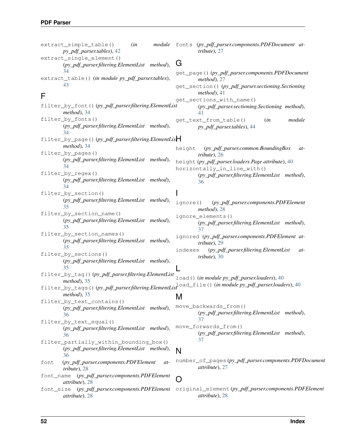extract simple table() (*in py\_pdf\_parser.tables*), [42](#page-45-1) extract\_single\_element() (*py\_pdf\_parser.filtering.ElementList method*), [34](#page-37-2) extract\_table() (*in module py\_pdf\_parser.tables*), [43](#page-46-1)

## F

filter\_by\_font() (*py\_pdf\_parser.filtering.ElementList method*), [34](#page-37-2) filter\_by\_fonts() (*py\_pdf\_parser.filtering.ElementList method*), [34](#page-37-2) filter\_by\_page() (*py\_pdf\_parser.filtering.ElementList* H *method*), [34](#page-37-2) filter\_by\_pages() (*py\_pdf\_parser.filtering.ElementList method*), [34](#page-37-2) filter\_by\_regex() (*py\_pdf\_parser.filtering.ElementList method*), [34](#page-37-2) filter\_by\_section() (*py\_pdf\_parser.filtering.ElementList method*), [35](#page-38-0) filter\_by\_section\_name() (*py\_pdf\_parser.filtering.ElementList method*), [35](#page-38-0) filter\_by\_section\_names() (*py\_pdf\_parser.filtering.ElementList method*), [35](#page-38-0) filter\_by\_sections() (*py\_pdf\_parser.filtering.ElementList method*), [35](#page-38-0) filter\_by\_tag() (*py\_pdf\_parser.filtering.ElementList method*), [35](#page-38-0) filter\_by\_tags() (*py\_pdf\_parser.filtering.ElementList* load\_file() (*in module py\_pdf\_parser.loaders*), [40](#page-43-4) *method*), [35](#page-38-0) filter\_by\_text\_contains() (*py\_pdf\_parser.filtering.ElementList method*), [36](#page-39-1) filter\_by\_text\_equal() (*py\_pdf\_parser.filtering.ElementList method*), [36](#page-39-1) filter\_partially\_within\_bounding\_box() (*py\_pdf\_parser.filtering.ElementList method*), [36](#page-39-1) font (*py\_pdf\_parser.components.PDFElement attribute*), [28](#page-31-2) font\_name (*py\_pdf\_parser.components.PDFElement attribute*), [28](#page-31-2) I L M N  $\bigcap$ 

*attribute*), [28](#page-31-2)

module fonts (py pdf parser.components.PDFDocument at*tribute*), [27](#page-30-3)

## G

get\_page() (*py\_pdf\_parser.components.PDFDocument method*), [27](#page-30-3) get\_section() (*py\_pdf\_parser.sectioning.Sectioning method*), [41](#page-44-7) get\_sections\_with\_name() (*py\_pdf\_parser.sectioning.Sectioning method*), [41](#page-44-7) get\_text\_from\_table() (*in module py\_pdf\_parser.tables*), [44](#page-47-2) height (*py\_pdf\_parser.common.BoundingBox attribute*), [26](#page-29-3) height (*py\_pdf\_parser.loaders.Page attribute*), [40](#page-43-4) horizontally\_in\_line\_with() (*py\_pdf\_parser.filtering.ElementList method*), [36](#page-39-1)

ignore() (*py\_pdf\_parser.components.PDFElement method*), [28](#page-31-2) ignore\_elements() (*py\_pdf\_parser.filtering.ElementList method*), [37](#page-40-1)

ignored (*py\_pdf\_parser.components.PDFElement attribute*), [29](#page-32-2)

indexes (*py\_pdf\_parser.filtering.ElementList attribute*), [30](#page-33-3)

load() (*in module py\_pdf\_parser.loaders*), [40](#page-43-4)

move\_backwards\_from() (*py\_pdf\_parser.filtering.ElementList method*), [37](#page-40-1) move\_forwards\_from() (*py\_pdf\_parser.filtering.ElementList method*), [37](#page-40-1)

number\_of\_pages (*py\_pdf\_parser.components.PDFDocument attribute*), [27](#page-30-3)

font\_size (*py\_pdf\_parser.components.PDFElement* original\_element (*py\_pdf\_parser.components.PDFElement attribute*), [28](#page-31-2)